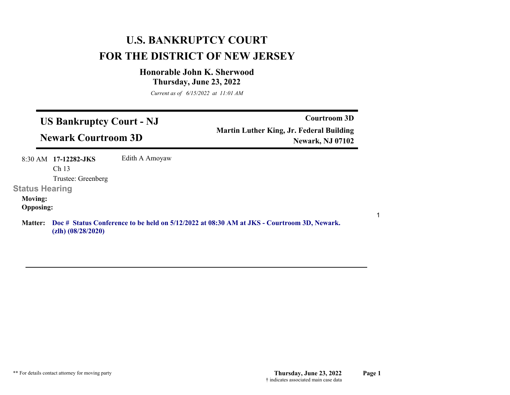# **U.S. BANKRUPTCY COURT FOR THE DISTRICT OF NEW JERSEY**

# **Honorable John K. Sherwood Thursday, June 23, 2022**

*Current as of 6/15/2022 at 11:01 AM*

| <b>US Bankruptcy Court - NJ</b><br><b>Newark Courtroom 3D</b> |                                            |                | <b>Courtroom 3D</b><br><b>Martin Luther King, Jr. Federal Building</b><br><b>Newark, NJ 07102</b> |
|---------------------------------------------------------------|--------------------------------------------|----------------|---------------------------------------------------------------------------------------------------|
|                                                               | $8:30$ AM 17-12282-JKS<br>Ch <sub>13</sub> | Edith A Amoyaw |                                                                                                   |
|                                                               | Trustee: Greenberg                         |                |                                                                                                   |
| <b>Status Hearing</b>                                         |                                            |                |                                                                                                   |
| <b>Moving:</b><br><b>Opposing:</b>                            |                                            |                |                                                                                                   |
| <b>Matter:</b>                                                | $(zlh)$ $(08/28/2020)$                     |                | Doc # Status Conference to be held on 5/12/2022 at 08:30 AM at JKS - Courtroom 3D, Newark.        |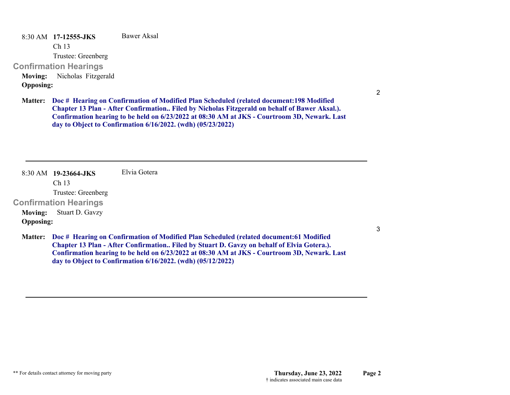8:30 AM **17-12555-JKS**  Ch 13 Trustee: Greenberg **Confirmation Hearings**  Bawer Aksal**Moving:** Nicholas Fitzgerald **Opposing:**

2

3

**Doc # Hearing on Confirmation of Modified Plan Scheduled (related document:198 Modified Matter: Chapter 13 Plan - After Confirmation.. Filed by Nicholas Fitzgerald on behalf of Bawer Aksal.). Confirmation hearing to be held on 6/23/2022 at 08:30 AM at JKS - Courtroom 3D, Newark. Last day to Object to Confirmation 6/16/2022. (wdh) (05/23/2022)**

8:30 AM **19-23664-JKS**  Ch 13 Trustee: Greenberg **Confirmation Hearings**  Elvia Gotera**Moving:** Stuart D. Gavzy **Opposing: Doc # Hearing on Confirmation of Modified Plan Scheduled (related document:61 Modified Matter: Chapter 13 Plan - After Confirmation.. Filed by Stuart D. Gavzy on behalf of Elvia Gotera.). Confirmation hearing to be held on 6/23/2022 at 08:30 AM at JKS - Courtroom 3D, Newark. Last day to Object to Confirmation 6/16/2022. (wdh) (05/12/2022)**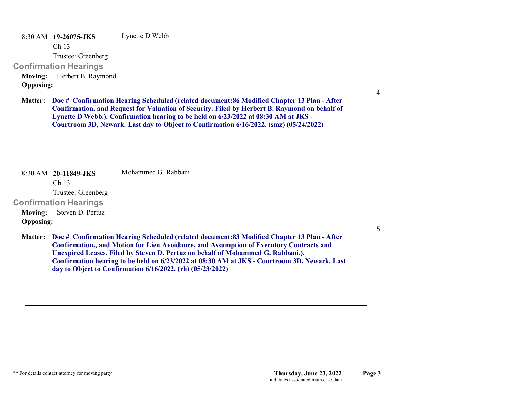8:30 AM **19-26075-JKS**  Lynette D Webb

Ch 13

Trustee: Greenberg

**Confirmation Hearings** 

**Moving:** Herbert B. Raymond **Opposing:**

4

**Doc # Confirmation Hearing Scheduled (related document:86 Modified Chapter 13 Plan - After Matter: Confirmation. and Request for Valuation of Security. Filed by Herbert B. Raymond on behalf of Lynette D Webb.). Confirmation hearing to be held on 6/23/2022 at 08:30 AM at JKS - Courtroom 3D, Newark. Last day to Object to Confirmation 6/16/2022. (smz) (05/24/2022)**

8:30 AM **20-11849-JKS**  Mohammed G. Rabbani

Ch 13

Trustee: Greenberg

**Confirmation Hearings** 

**Moving:** Steven D. Pertuz **Opposing:**

5

**Doc # Confirmation Hearing Scheduled (related document:83 Modified Chapter 13 Plan - After Matter: Confirmation., and Motion for Lien Avoidance, and Assumption of Executory Contracts and Unexpired Leases. Filed by Steven D. Pertuz on behalf of Mohammed G. Rabbani.). Confirmation hearing to be held on 6/23/2022 at 08:30 AM at JKS - Courtroom 3D, Newark. Last day to Object to Confirmation 6/16/2022. (rh) (05/23/2022)**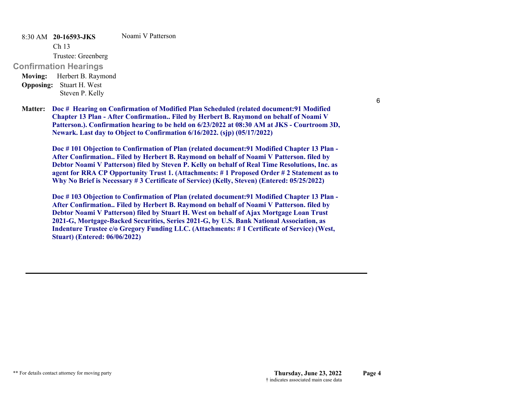8:30 AM **20-16593-JKS**  Noami V Patterson

Ch 13

Trustee: Greenberg

# **Confirmation Hearings**

**Moving:** Herbert B. Raymond **Opposing:** Stuart H. West Steven P. Kelly

6

**Doc # Hearing on Confirmation of Modified Plan Scheduled (related document:91 Modified Matter: Chapter 13 Plan - After Confirmation.. Filed by Herbert B. Raymond on behalf of Noami V Patterson.). Confirmation hearing to be held on 6/23/2022 at 08:30 AM at JKS - Courtroom 3D, Newark. Last day to Object to Confirmation 6/16/2022. (sjp) (05/17/2022)**

**Doc # 101 Objection to Confirmation of Plan (related document:91 Modified Chapter 13 Plan - After Confirmation.. Filed by Herbert B. Raymond on behalf of Noami V Patterson. filed by Debtor Noami V Patterson) filed by Steven P. Kelly on behalf of Real Time Resolutions, Inc. as agent for RRA CP Opportunity Trust 1. (Attachments: # 1 Proposed Order # 2 Statement as to Why No Brief is Necessary # 3 Certificate of Service) (Kelly, Steven) (Entered: 05/25/2022)**

**Doc # 103 Objection to Confirmation of Plan (related document:91 Modified Chapter 13 Plan - After Confirmation.. Filed by Herbert B. Raymond on behalf of Noami V Patterson. filed by Debtor Noami V Patterson) filed by Stuart H. West on behalf of Ajax Mortgage Loan Trust 2021-G, Mortgage-Backed Securities, Series 2021-G, by U.S. Bank National Association, as Indenture Trustee c/o Gregory Funding LLC. (Attachments: # 1 Certificate of Service) (West, Stuart) (Entered: 06/06/2022)**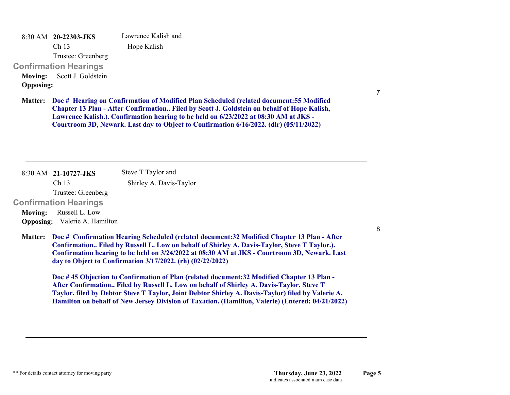8:30 AM **20-22303-JKS**  Ch 13 Trustee: Greenberg **Confirmation Hearings**  Lawrence Kalish and Hope Kalish **Moving:** Scott J. Goldstein **Opposing:**

**Doc # Hearing on Confirmation of Modified Plan Scheduled (related document:55 Modified Matter: Chapter 13 Plan - After Confirmation.. Filed by Scott J. Goldstein on behalf of Hope Kalish, Lawrence Kalish.). Confirmation hearing to be held on 6/23/2022 at 08:30 AM at JKS - Courtroom 3D, Newark. Last day to Object to Confirmation 6/16/2022. (dlr) (05/11/2022)**

8:30 AM **21-10727-JKS**  Ch 13 Trustee: Greenberg **Confirmation Hearings**  Steve T Taylor and Shirley A. Davis-Taylor **Moving:** Russell L. Low **Opposing:** Valerie A. Hamilton

**Doc # Confirmation Hearing Scheduled (related document:32 Modified Chapter 13 Plan - After Matter: Confirmation.. Filed by Russell L. Low on behalf of Shirley A. Davis-Taylor, Steve T Taylor.). Confirmation hearing to be held on 3/24/2022 at 08:30 AM at JKS - Courtroom 3D, Newark. Last day to Object to Confirmation 3/17/2022. (rh) (02/22/2022)**

**Doc # 45 Objection to Confirmation of Plan (related document:32 Modified Chapter 13 Plan - After Confirmation.. Filed by Russell L. Low on behalf of Shirley A. Davis-Taylor, Steve T Taylor. filed by Debtor Steve T Taylor, Joint Debtor Shirley A. Davis-Taylor) filed by Valerie A. Hamilton on behalf of New Jersey Division of Taxation. (Hamilton, Valerie) (Entered: 04/21/2022)** 8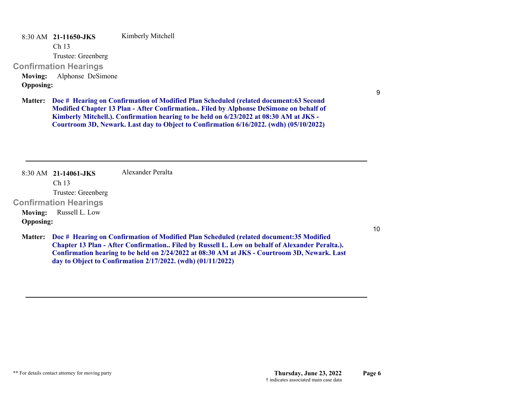8:30 AM **21-11650-JKS**  Kimberly Mitchell

Ch 13

Trustee: Greenberg

**Confirmation Hearings** 

**Moving:** Alphonse DeSimone **Opposing:**

9

**Doc # Hearing on Confirmation of Modified Plan Scheduled (related document:63 Second Matter: Modified Chapter 13 Plan - After Confirmation.. Filed by Alphonse DeSimone on behalf of Kimberly Mitchell.). Confirmation hearing to be held on 6/23/2022 at 08:30 AM at JKS - Courtroom 3D, Newark. Last day to Object to Confirmation 6/16/2022. (wdh) (05/10/2022)**

8:30 AM **21-14061-JKS**  Ch 13 Trustee: Greenberg **Confirmation Hearings**  Alexander Peralta**Moving:** Russell L. Low **Opposing:**

10

**Doc # Hearing on Confirmation of Modified Plan Scheduled (related document:35 Modified Matter: Chapter 13 Plan - After Confirmation.. Filed by Russell L. Low on behalf of Alexander Peralta.). Confirmation hearing to be held on 2/24/2022 at 08:30 AM at JKS - Courtroom 3D, Newark. Last day to Object to Confirmation 2/17/2022. (wdh) (01/11/2022)**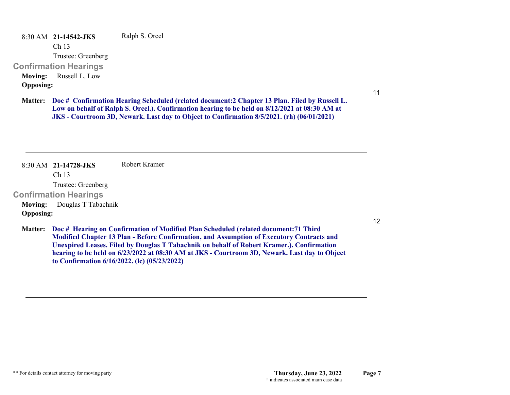8:30 AM **21-14542-JKS**  Ch 13 Trustee: Greenberg **Confirmation Hearings**  Ralph S. Orcel **Moving:** Russell L. Low **Opposing:**

11

**Doc # Confirmation Hearing Scheduled (related document:2 Chapter 13 Plan. Filed by Russell L. Matter: Low on behalf of Ralph S. Orcel.). Confirmation hearing to be held on 8/12/2021 at 08:30 AM at JKS - Courtroom 3D, Newark. Last day to Object to Confirmation 8/5/2021. (rh) (06/01/2021)**

8:30 AM **21-14728-JKS**  Ch 13 Trustee: Greenberg **Confirmation Hearings**  Robert Kramer**Moving:** Douglas T Tabachnik **Opposing:**

12

**Doc # Hearing on Confirmation of Modified Plan Scheduled (related document:71 Third Matter: Modified Chapter 13 Plan - Before Confirmation, and Assumption of Executory Contracts and Unexpired Leases. Filed by Douglas T Tabachnik on behalf of Robert Kramer.). Confirmation hearing to be held on 6/23/2022 at 08:30 AM at JKS - Courtroom 3D, Newark. Last day to Object to Confirmation 6/16/2022. (lc) (05/23/2022)**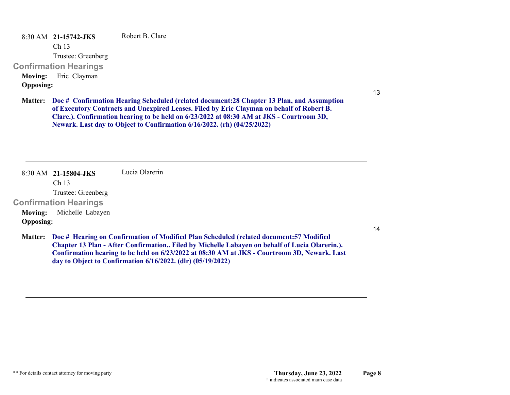8:30 AM **21-15742-JKS**  Ch 13 Trustee: Greenberg **Confirmation Hearings**  Robert B. Clare**Moving:** Eric Clayman **Opposing:**

13

**Doc # Confirmation Hearing Scheduled (related document:28 Chapter 13 Plan, and Assumption Matter: of Executory Contracts and Unexpired Leases. Filed by Eric Clayman on behalf of Robert B. Clare.). Confirmation hearing to be held on 6/23/2022 at 08:30 AM at JKS - Courtroom 3D, Newark. Last day to Object to Confirmation 6/16/2022. (rh) (04/25/2022)**

8:30 AM **21-15804-JKS**  Ch 13 Trustee: Greenberg **Confirmation Hearings**  Lucia Olarerin**Moving:** Michelle Labayen **Opposing:**

14

**Doc # Hearing on Confirmation of Modified Plan Scheduled (related document:57 Modified Matter: Chapter 13 Plan - After Confirmation.. Filed by Michelle Labayen on behalf of Lucia Olarerin.). Confirmation hearing to be held on 6/23/2022 at 08:30 AM at JKS - Courtroom 3D, Newark. Last day to Object to Confirmation 6/16/2022. (dlr) (05/19/2022)**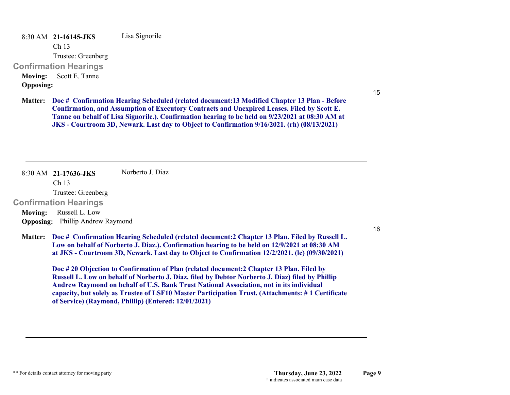8:30 AM **21-16145-JKS**  Lisa Signorile

Ch 13

Trustee: Greenberg

#### **Confirmation Hearings**

**Moving:** Scott E. Tanne

# **Opposing:**

15

**Doc # Confirmation Hearing Scheduled (related document:13 Modified Chapter 13 Plan - Before Matter: Confirmation, and Assumption of Executory Contracts and Unexpired Leases. Filed by Scott E. Tanne on behalf of Lisa Signorile.). Confirmation hearing to be held on 9/23/2021 at 08:30 AM at JKS - Courtroom 3D, Newark. Last day to Object to Confirmation 9/16/2021. (rh) (08/13/2021)**

8:30 AM **21-17636-JKS**  Norberto J. Diaz

Ch 13

Trustee: Greenberg

**Confirmation Hearings** 

**Moving:** Russell L. Low **Opposing:** Phillip Andrew Raymond

16

**Doc # Confirmation Hearing Scheduled (related document:2 Chapter 13 Plan. Filed by Russell L. Matter: Low on behalf of Norberto J. Diaz.). Confirmation hearing to be held on 12/9/2021 at 08:30 AM at JKS - Courtroom 3D, Newark. Last day to Object to Confirmation 12/2/2021. (lc) (09/30/2021)**

**Doc # 20 Objection to Confirmation of Plan (related document:2 Chapter 13 Plan. Filed by Russell L. Low on behalf of Norberto J. Diaz. filed by Debtor Norberto J. Diaz) filed by Phillip Andrew Raymond on behalf of U.S. Bank Trust National Association, not in its individual capacity, but solely as Trustee of LSF10 Master Participation Trust. (Attachments: # 1 Certificate of Service) (Raymond, Phillip) (Entered: 12/01/2021)**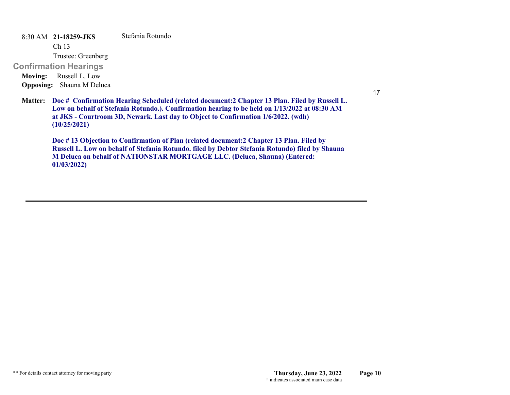8:30 AM **21-18259-JKS**  Stefania Rotundo

Ch 13

Trustee: Greenberg

**Confirmation Hearings** 

**Moving:** Russell L. Low **Opposing:** Shauna M Deluca

17

**Doc # Confirmation Hearing Scheduled (related document:2 Chapter 13 Plan. Filed by Russell L. Matter: Low on behalf of Stefania Rotundo.). Confirmation hearing to be held on 1/13/2022 at 08:30 AM at JKS - Courtroom 3D, Newark. Last day to Object to Confirmation 1/6/2022. (wdh) (10/25/2021)**

**Doc # 13 Objection to Confirmation of Plan (related document:2 Chapter 13 Plan. Filed by Russell L. Low on behalf of Stefania Rotundo. filed by Debtor Stefania Rotundo) filed by Shauna M Deluca on behalf of NATIONSTAR MORTGAGE LLC. (Deluca, Shauna) (Entered: 01/03/2022)**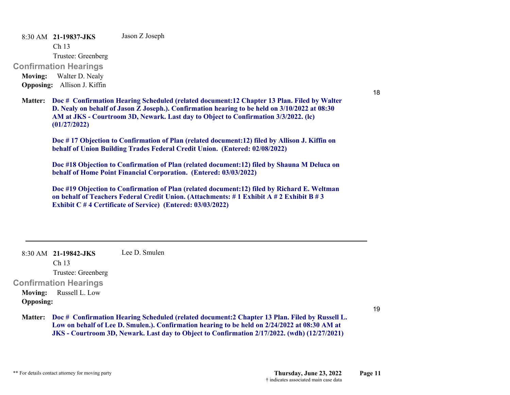8:30 AM **21-19837-JKS**  Ch 13 Trustee: Greenberg **Confirmation Hearings**  Jason Z Joseph **Moving:** Walter D. Nealy

**Opposing:** Allison J. Kiffin

**Doc # Confirmation Hearing Scheduled (related document:12 Chapter 13 Plan. Filed by Walter Matter: D. Nealy on behalf of Jason Z Joseph.). Confirmation hearing to be held on 3/10/2022 at 08:30 AM at JKS - Courtroom 3D, Newark. Last day to Object to Confirmation 3/3/2022. (lc) (01/27/2022)**

**Doc # 17 Objection to Confirmation of Plan (related document:12) filed by Allison J. Kiffin on behalf of Union Building Trades Federal Credit Union. (Entered: 02/08/2022)**

**Doc #18 Objection to Confirmation of Plan (related document:12) filed by Shauna M Deluca on behalf of Home Point Financial Corporation. (Entered: 03/03/2022)**

**Doc #19 Objection to Confirmation of Plan (related document:12) filed by Richard E. Weltman on behalf of Teachers Federal Credit Union. (Attachments: # 1 Exhibit A # 2 Exhibit B # 3 Exhibit C # 4 Certificate of Service) (Entered: 03/03/2022)**

8:30 AM **21-19842-JKS**  Lee D. Smulen

Ch 13

Trustee: Greenberg

### **Confirmation Hearings**

**Moving:** Russell L. Low **Opposing:**

19

18

**Doc # Confirmation Hearing Scheduled (related document:2 Chapter 13 Plan. Filed by Russell L. Matter: Low on behalf of Lee D. Smulen.). Confirmation hearing to be held on 2/24/2022 at 08:30 AM at JKS - Courtroom 3D, Newark. Last day to Object to Confirmation 2/17/2022. (wdh) (12/27/2021)**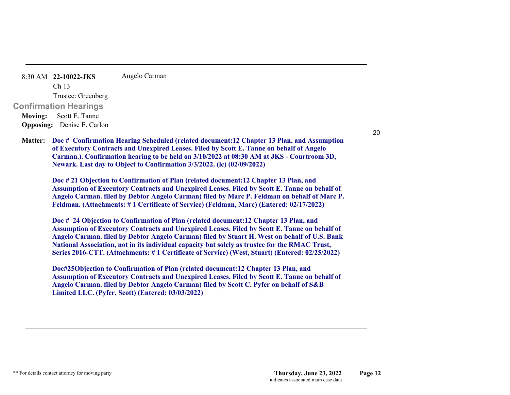8:30 AM **22-10022-JKS**  Ch 13 Trustee: Greenberg **Confirmation Hearings**  Angelo Carman **Moving:** Scott E. Tanne **Opposing:** Denise E. Carlon

**Doc # Confirmation Hearing Scheduled (related document:12 Chapter 13 Plan, and Assumption Matter: of Executory Contracts and Unexpired Leases. Filed by Scott E. Tanne on behalf of Angelo Carman.). Confirmation hearing to be held on 3/10/2022 at 08:30 AM at JKS - Courtroom 3D, Newark. Last day to Object to Confirmation 3/3/2022. (lc) (02/09/2022)**

**Doc # 21 Objection to Confirmation of Plan (related document:12 Chapter 13 Plan, and Assumption of Executory Contracts and Unexpired Leases. Filed by Scott E. Tanne on behalf of Angelo Carman. filed by Debtor Angelo Carman) filed by Marc P. Feldman on behalf of Marc P. Feldman. (Attachments: # 1 Certificate of Service) (Feldman, Marc) (Entered: 02/17/2022)**

**Doc # 24 Objection to Confirmation of Plan (related document:12 Chapter 13 Plan, and Assumption of Executory Contracts and Unexpired Leases. Filed by Scott E. Tanne on behalf of Angelo Carman. filed by Debtor Angelo Carman) filed by Stuart H. West on behalf of U.S. Bank National Association, not in its individual capacity but solely as trustee for the RMAC Trust, Series 2016-CTT. (Attachments: # 1 Certificate of Service) (West, Stuart) (Entered: 02/25/2022)**

**Doc#25Objection to Confirmation of Plan (related document:12 Chapter 13 Plan, and Assumption of Executory Contracts and Unexpired Leases. Filed by Scott E. Tanne on behalf of Angelo Carman. filed by Debtor Angelo Carman) filed by Scott C. Pyfer on behalf of S&B Limited LLC. (Pyfer, Scott) (Entered: 03/03/2022)**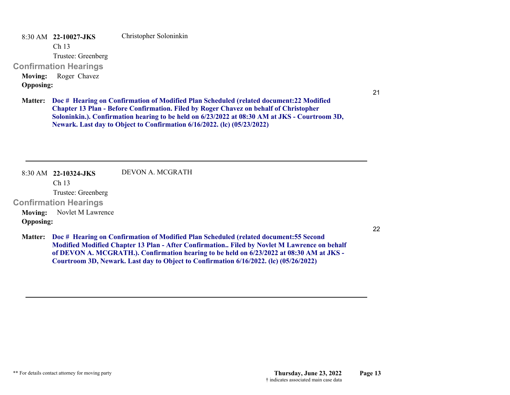8:30 AM **22-10027-JKS**  Christopher Soloninkin

Ch 13

Trustee: Greenberg

**Confirmation Hearings** 

**Moving:** Roger Chavez **Opposing:**

21

**Doc # Hearing on Confirmation of Modified Plan Scheduled (related document:22 Modified Matter: Chapter 13 Plan - Before Confirmation. Filed by Roger Chavez on behalf of Christopher Soloninkin.). Confirmation hearing to be held on 6/23/2022 at 08:30 AM at JKS - Courtroom 3D, Newark. Last day to Object to Confirmation 6/16/2022. (lc) (05/23/2022)**

**Courtroom 3D, Newark. Last day to Object to Confirmation 6/16/2022. (lc) (05/26/2022)**

8:30 AM **22-10324-JKS**  Ch 13 Trustee: Greenberg **Confirmation Hearings**  DEVON A. MCGRATH**Moving:** Novlet M Lawrence **Opposing: Doc # Hearing on Confirmation of Modified Plan Scheduled (related document:55 Second Matter: Modified Modified Chapter 13 Plan - After Confirmation.. Filed by Novlet M Lawrence on behalf of DEVON A. MCGRATH.). Confirmation hearing to be held on 6/23/2022 at 08:30 AM at JKS -**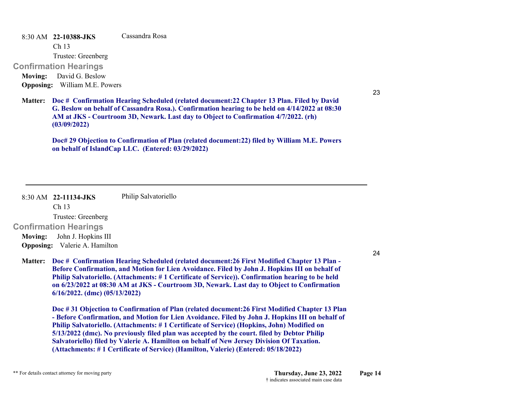8:30 AM **22-10388-JKS**  Cassandra Rosa

Ch 13

Trustee: Greenberg

**Confirmation Hearings** 

**Moving:** David G. Beslow **Opposing:** William M.E. Powers

23

**Doc # Confirmation Hearing Scheduled (related document:22 Chapter 13 Plan. Filed by David Matter: G. Beslow on behalf of Cassandra Rosa.). Confirmation hearing to be held on 4/14/2022 at 08:30 AM at JKS - Courtroom 3D, Newark. Last day to Object to Confirmation 4/7/2022. (rh) (03/09/2022)**

**Doc# 29 Objection to Confirmation of Plan (related document:22) filed by William M.E. Powers on behalf of IslandCap LLC. (Entered: 03/29/2022)**

8:30 AM **22-11134-JKS**  Ch 13 Trustee: Greenberg **Confirmation Hearings**  Philip Salvatoriello **Moving:** John J. Hopkins III **Opposing:** Valerie A. Hamilton

**Doc # Confirmation Hearing Scheduled (related document:26 First Modified Chapter 13 Plan - Matter: Before Confirmation, and Motion for Lien Avoidance. Filed by John J. Hopkins III on behalf of Philip Salvatoriello. (Attachments: # 1 Certificate of Service)). Confirmation hearing to be held on 6/23/2022 at 08:30 AM at JKS - Courtroom 3D, Newark. Last day to Object to Confirmation 6/16/2022. (dmc) (05/13/2022)**

**Doc # 31 Objection to Confirmation of Plan (related document:26 First Modified Chapter 13 Plan - Before Confirmation, and Motion for Lien Avoidance. Filed by John J. Hopkins III on behalf of Philip Salvatoriello. (Attachments: # 1 Certificate of Service) (Hopkins, John) Modified on 5/13/2022 (dmc). No previously filed plan was accepted by the court. filed by Debtor Philip Salvatoriello) filed by Valerie A. Hamilton on behalf of New Jersey Division Of Taxation. (Attachments: # 1 Certificate of Service) (Hamilton, Valerie) (Entered: 05/18/2022)**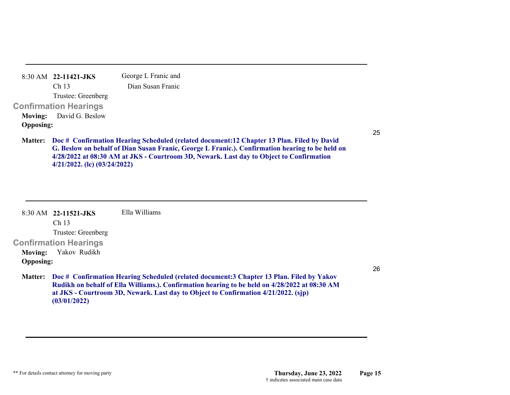|                  | $8:30$ AM $22-11421$ -JKS      | George L Franic and                                 |
|------------------|--------------------------------|-----------------------------------------------------|
|                  | Ch <sub>13</sub>               | Dian Susan Franic                                   |
|                  | Trustee: Greenberg             |                                                     |
|                  | <b>Confirmation Hearings</b>   |                                                     |
|                  | <b>Moving:</b> David G. Beslow |                                                     |
| <b>Opposing:</b> |                                |                                                     |
|                  |                                | Mottom - Dea # Canfirmation Heaving Scheduled (vola |

**Doc # Confirmation Hearing Scheduled (related document:12 Chapter 13 Plan. Filed by David Matter: G. Beslow on behalf of Dian Susan Franic, George L Franic.). Confirmation hearing to be held on 4/28/2022 at 08:30 AM at JKS - Courtroom 3D, Newark. Last day to Object to Confirmation 4/21/2022. (lc) (03/24/2022)**

|                  | 8:30 AM 22-11521-JKS         | Ella Williams                                                                                                                                                                                                                                                                    |
|------------------|------------------------------|----------------------------------------------------------------------------------------------------------------------------------------------------------------------------------------------------------------------------------------------------------------------------------|
|                  | Ch <sub>13</sub>             |                                                                                                                                                                                                                                                                                  |
|                  | Trustee: Greenberg           |                                                                                                                                                                                                                                                                                  |
|                  | <b>Confirmation Hearings</b> |                                                                                                                                                                                                                                                                                  |
| Moving:          | Yakov Rudikh                 |                                                                                                                                                                                                                                                                                  |
| <b>Opposing:</b> |                              |                                                                                                                                                                                                                                                                                  |
| <b>Matter:</b>   | (03/01/2022)                 | Doc # Confirmation Hearing Scheduled (related document: 3 Chapter 13 Plan. Filed by Yakov<br>Rudikh on behalf of Ella Williams.). Confirmation hearing to be held on 4/28/2022 at 08:30 AM<br>at JKS - Courtroom 3D, Newark. Last day to Object to Confirmation 4/21/2022. (sjp) |

26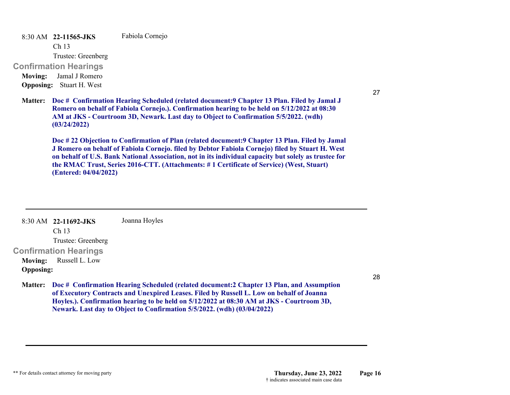8:30 AM **22-11565-JKS**  Fabiola Cornejo

Ch 13

Trustee: Greenberg

**Confirmation Hearings** 

**Moving:** Jamal J Romero **Opposing:** Stuart H. West

**Doc # Confirmation Hearing Scheduled (related document:9 Chapter 13 Plan. Filed by Jamal J Matter: Romero on behalf of Fabiola Cornejo.). Confirmation hearing to be held on 5/12/2022 at 08:30 AM at JKS - Courtroom 3D, Newark. Last day to Object to Confirmation 5/5/2022. (wdh) (03/24/2022)**

**Doc # 22 Objection to Confirmation of Plan (related document:9 Chapter 13 Plan. Filed by Jamal J Romero on behalf of Fabiola Cornejo. filed by Debtor Fabiola Cornejo) filed by Stuart H. West on behalf of U.S. Bank National Association, not in its individual capacity but solely as trustee for the RMAC Trust, Series 2016-CTT. (Attachments: # 1 Certificate of Service) (West, Stuart) (Entered: 04/04/2022)**

8:30 AM **22-11692-JKS**  Ch 13 Trustee: Greenberg **Confirmation Hearings**  Joanna Hoyles **Moving:** Russell L. Low **Opposing:**

28

27

**Doc # Confirmation Hearing Scheduled (related document:2 Chapter 13 Plan, and Assumption Matter: of Executory Contracts and Unexpired Leases. Filed by Russell L. Low on behalf of Joanna Hoyles.). Confirmation hearing to be held on 5/12/2022 at 08:30 AM at JKS - Courtroom 3D, Newark. Last day to Object to Confirmation 5/5/2022. (wdh) (03/04/2022)**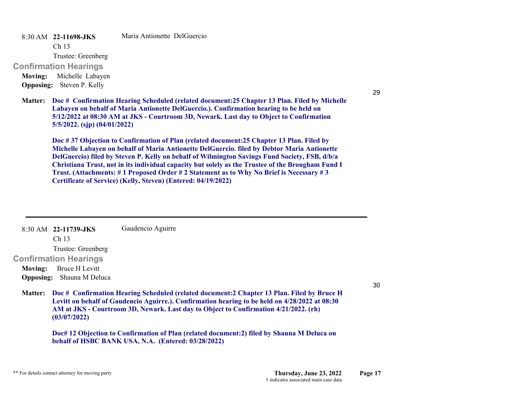8:30 AM **22-11698-JKS** 

Maria Antionette DelGuercio

Ch 13

Trustee: Greenberg

**Confirmation Hearings** 

**Moving:** Michelle Labayen **Opposing:** Steven P. Kelly

**Doc # Confirmation Hearing Scheduled (related document:25 Chapter 13 Plan. Filed by Michelle Matter: Labayen on behalf of Maria Antionette DelGuercio.). Confirmation hearing to be held on 5/12/2022 at 08:30 AM at JKS - Courtroom 3D, Newark. Last day to Object to Confirmation 5/5/2022. (sjp) (04/01/2022)**

**Doc # 37 Objection to Confirmation of Plan (related document:25 Chapter 13 Plan. Filed by Michelle Labayen on behalf of Maria Antionette DelGuercio. filed by Debtor Maria Antionette DelGuercio) filed by Steven P. Kelly on behalf of Wilmington Savings Fund Society, FSB, d/b/a Christiana Trust, not in its individual capacity but solely as the Trustee of the Brougham Fund I Trust. (Attachments: # 1 Proposed Order # 2 Statement as to Why No Brief is Necessary # 3 Certificate of Service) (Kelly, Steven) (Entered: 04/19/2022)**

8:30 AM **22-11739-JKS**  Ch 13 Trustee: Greenberg **Confirmation Hearings**  Gaudencio Aguirre **Moving:** Bruce H Levitt **Opposing:** Shauna M Deluca **Doc # Confirmation Hearing Scheduled (related document:2 Chapter 13 Plan. Filed by Bruce H Matter: Levitt on behalf of Gaudencio Aguirre.). Confirmation hearing to be held on 4/28/2022 at 08:30 AM at JKS - Courtroom 3D, Newark. Last day to Object to Confirmation 4/21/2022. (rh) (03/07/2022)**

> **Doc# 12 Objection to Confirmation of Plan (related document:2) filed by Shauna M Deluca on behalf of HSBC BANK USA, N.A. (Entered: 03/28/2022)**

30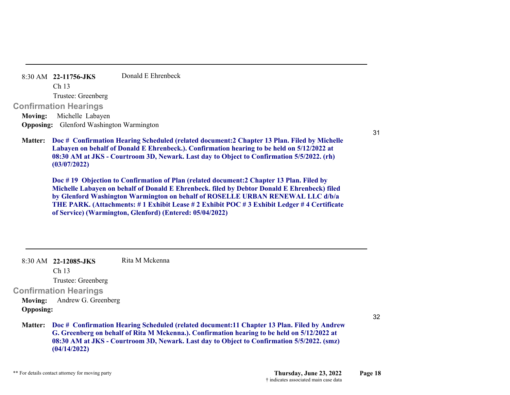|         | 8:30 AM 22-11756-JKS                            | Donald E Ehrenbeck                                                                                                                                                                                                                                                                              |
|---------|-------------------------------------------------|-------------------------------------------------------------------------------------------------------------------------------------------------------------------------------------------------------------------------------------------------------------------------------------------------|
|         | Ch 13                                           |                                                                                                                                                                                                                                                                                                 |
|         | Trustee: Greenberg                              |                                                                                                                                                                                                                                                                                                 |
|         | <b>Confirmation Hearings</b>                    |                                                                                                                                                                                                                                                                                                 |
| Moving: | Michelle Labayen                                |                                                                                                                                                                                                                                                                                                 |
|         | <b>Opposing:</b> Glenford Washington Warmington |                                                                                                                                                                                                                                                                                                 |
|         |                                                 | Matter: Doc # Confirmation Hearing Scheduled (related document: 2 Chapter 13 Plan. Filed by Michelle<br>Labayen on behalf of Donald E Ehrenbeck.). Confirmation hearing to be held on 5/12/2022 at<br>08:30 AM at JKS - Courtroom 3D, Newark. Last day to Object to Confirmation 5/5/2022. (rh) |

**Doc # 19 Objection to Confirmation of Plan (related document:2 Chapter 13 Plan. Filed by Michelle Labayen on behalf of Donald E Ehrenbeck. filed by Debtor Donald E Ehrenbeck) filed by Glenford Washington Warmington on behalf of ROSELLE URBAN RENEWAL LLC d/b/a THE PARK. (Attachments: # 1 Exhibit Lease # 2 Exhibit POC # 3 Exhibit Ledger # 4 Certificate of Service) (Warmington, Glenford) (Entered: 05/04/2022)**

|                  | $8:30$ AM 22-12085-JKS       | Rita M Mckenna                                                                                                                                                                                                                                                                                   |
|------------------|------------------------------|--------------------------------------------------------------------------------------------------------------------------------------------------------------------------------------------------------------------------------------------------------------------------------------------------|
|                  | Ch <sub>13</sub>             |                                                                                                                                                                                                                                                                                                  |
|                  | Trustee: Greenberg           |                                                                                                                                                                                                                                                                                                  |
|                  | <b>Confirmation Hearings</b> |                                                                                                                                                                                                                                                                                                  |
| <b>Moving:</b>   | Andrew G. Greenberg          |                                                                                                                                                                                                                                                                                                  |
| <b>Opposing:</b> |                              |                                                                                                                                                                                                                                                                                                  |
|                  | (04/14/2022)                 | Matter: Doc # Confirmation Hearing Scheduled (related document: 11 Chapter 13 Plan. Filed by Andrew<br>G. Greenberg on behalf of Rita M Mckenna.). Confirmation hearing to be held on 5/12/2022 at<br>08:30 AM at JKS - Courtroom 3D, Newark. Last day to Object to Confirmation 5/5/2022. (smz) |

**(03/07/2022)**

31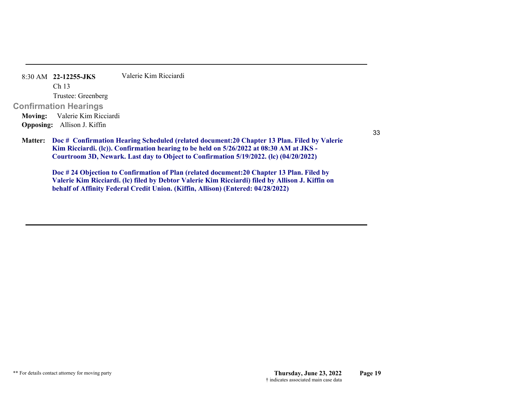| $8:30$ AM $22-12255$ -JKS          | Valerie Kim Ricciardi                               |
|------------------------------------|-----------------------------------------------------|
| Ch <sub>13</sub>                   |                                                     |
| Trustee: Greenberg                 |                                                     |
| <b>Confirmation Hearings</b>       |                                                     |
| Moving: Valerie Kim Ricciardi      |                                                     |
| <b>Opposing:</b> Allison J. Kiffin |                                                     |
|                                    | Motton, Doo # Confirmation Hooping Schooluled (volc |

33

**Doc # Confirmation Hearing Scheduled (related document:20 Chapter 13 Plan. Filed by Valerie Matter: Kim Ricciardi. (lc)). Confirmation hearing to be held on 5/26/2022 at 08:30 AM at JKS - Courtroom 3D, Newark. Last day to Object to Confirmation 5/19/2022. (lc) (04/20/2022)**

**Doc # 24 Objection to Confirmation of Plan (related document:20 Chapter 13 Plan. Filed by Valerie Kim Ricciardi. (lc) filed by Debtor Valerie Kim Ricciardi) filed by Allison J. Kiffin on behalf of Affinity Federal Credit Union. (Kiffin, Allison) (Entered: 04/28/2022)**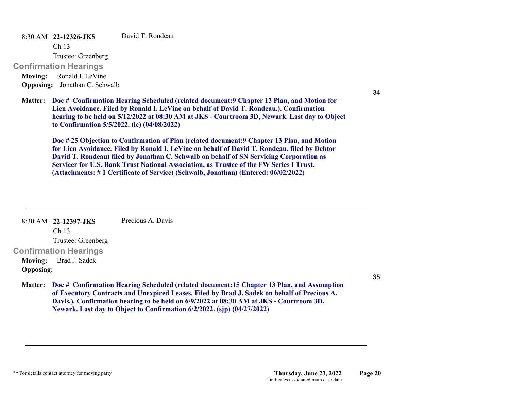8:30 AM **22-12326-JKS**  David T. Rondeau

Ch 13

Trustee: Greenberg

**Confirmation Hearings** 

**Moving:** Ronald I. LeVine **Opposing:** Jonathan C. Schwalb

**Doc # Confirmation Hearing Scheduled (related document:9 Chapter 13 Plan, and Motion for Matter: Lien Avoidance. Filed by Ronald I. LeVine on behalf of David T. Rondeau.). Confirmation hearing to be held on 5/12/2022 at 08:30 AM at JKS - Courtroom 3D, Newark. Last day to Object to Confirmation 5/5/2022. (lc) (04/08/2022)**

**Doc # 25 Objection to Confirmation of Plan (related document:9 Chapter 13 Plan, and Motion for Lien Avoidance. Filed by Ronald I. LeVine on behalf of David T. Rondeau. filed by Debtor David T. Rondeau) filed by Jonathan C. Schwalb on behalf of SN Servicing Corporation as Servicer for U.S. Bank Trust National Association, as Trustee of the FW Series I Trust. (Attachments: # 1 Certificate of Service) (Schwalb, Jonathan) (Entered: 06/02/2022)**

8:30 AM **22-12397-JKS**  Ch 13 Trustee: Greenberg **Confirmation Hearings**  Precious A. Davis**Moving:** Brad J. Sadek **Opposing:**

35

34

**Doc # Confirmation Hearing Scheduled (related document:15 Chapter 13 Plan, and Assumption Matter: of Executory Contracts and Unexpired Leases. Filed by Brad J. Sadek on behalf of Precious A. Davis.). Confirmation hearing to be held on 6/9/2022 at 08:30 AM at JKS - Courtroom 3D, Newark. Last day to Object to Confirmation 6/2/2022. (sjp) (04/27/2022)**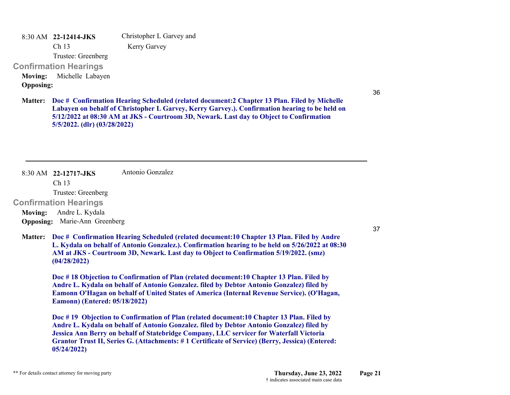8:30 AM **22-12414-JKS**  Christopher L Garvey and

Kerry Garvey

Trustee: Greenberg

### **Confirmation Hearings**

Ch 13

**Moving:** Michelle Labayen **Opposing:**

36

**Doc # Confirmation Hearing Scheduled (related document:2 Chapter 13 Plan. Filed by Michelle Matter: Labayen on behalf of Christopher L Garvey, Kerry Garvey.). Confirmation hearing to be held on 5/12/2022 at 08:30 AM at JKS - Courtroom 3D, Newark. Last day to Object to Confirmation 5/5/2022. (dlr) (03/28/2022)**

8:30 AM **22-12717-JKS**  Antonio Gonzalez

Ch 13

Trustee: Greenberg

### **Confirmation Hearings**

**Moving:** Andre L. Kydala **Opposing:** Marie-Ann Greenberg

37

**Doc # Confirmation Hearing Scheduled (related document:10 Chapter 13 Plan. Filed by Andre Matter: L. Kydala on behalf of Antonio Gonzalez.). Confirmation hearing to be held on 5/26/2022 at 08:30 AM at JKS - Courtroom 3D, Newark. Last day to Object to Confirmation 5/19/2022. (smz) (04/28/2022)**

**Doc # 18 Objection to Confirmation of Plan (related document:10 Chapter 13 Plan. Filed by Andre L. Kydala on behalf of Antonio Gonzalez. filed by Debtor Antonio Gonzalez) filed by Eamonn O'Hagan on behalf of United States of America (Internal Revenue Service). (O'Hagan, Eamonn) (Entered: 05/18/2022)**

**Doc # 19 Objection to Confirmation of Plan (related document:10 Chapter 13 Plan. Filed by Andre L. Kydala on behalf of Antonio Gonzalez. filed by Debtor Antonio Gonzalez) filed by Jessica Ann Berry on behalf of Statebridge Company, LLC servicer for Waterfall Victoria Grantor Trust II, Series G. (Attachments: # 1 Certificate of Service) (Berry, Jessica) (Entered: 05/24/2022)**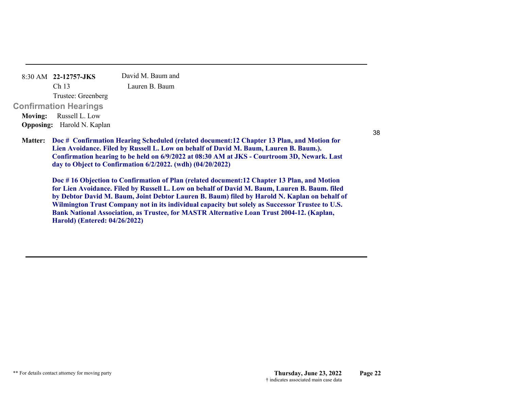| 8:30 AM 22-12757-JKS              | David M. Baum and                                                                                               |
|-----------------------------------|-----------------------------------------------------------------------------------------------------------------|
| Ch <sub>13</sub>                  | Lauren B. Baum                                                                                                  |
| Trustee: Greenberg                |                                                                                                                 |
| Confirmation Hearings             |                                                                                                                 |
| Moving: Russell L. Low            |                                                                                                                 |
| <b>Opposing:</b> Harold N. Kaplan |                                                                                                                 |
|                                   | <b>Matter:</b> Doc # Confirmation Hearing Scheduled (related<br>Lien Avoidance, Filed by Russell L. Low on beha |

document:12 Chapter 13 Plan, and Motion for **Lalf of David M. Baum, Lauren B. Baum.). Confirmation hearing to be held on 6/9/2022 at 08:30 AM at JKS - Courtroom 3D, Newark. Last day to Object to Confirmation 6/2/2022. (wdh) (04/20/2022)**

**Doc # 16 Objection to Confirmation of Plan (related document:12 Chapter 13 Plan, and Motion for Lien Avoidance. Filed by Russell L. Low on behalf of David M. Baum, Lauren B. Baum. filed by Debtor David M. Baum, Joint Debtor Lauren B. Baum) filed by Harold N. Kaplan on behalf of Wilmington Trust Company not in its individual capacity but solely as Successor Trustee to U.S. Bank National Association, as Trustee, for MASTR Alternative Loan Trust 2004-12. (Kaplan, Harold) (Entered: 04/26/2022)**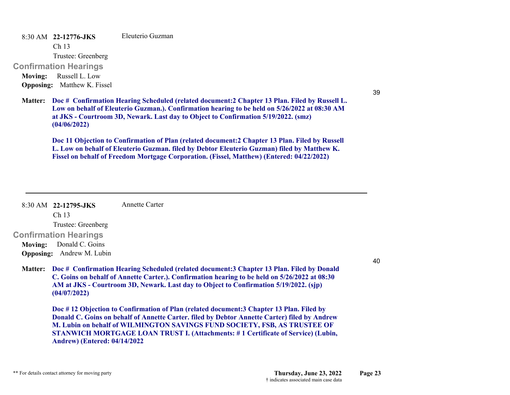8:30 AM **22-12776-JKS**  Eleuterio Guzman

Ch 13

Trustee: Greenberg

**Confirmation Hearings** 

**Moving:** Russell L. Low **Opposing:** Matthew K. Fissel

39

**Doc # Confirmation Hearing Scheduled (related document:2 Chapter 13 Plan. Filed by Russell L. Matter: Low on behalf of Eleuterio Guzman.). Confirmation hearing to be held on 5/26/2022 at 08:30 AM at JKS - Courtroom 3D, Newark. Last day to Object to Confirmation 5/19/2022. (smz) (04/06/2022)**

**Doc 11 Objection to Confirmation of Plan (related document:2 Chapter 13 Plan. Filed by Russell L. Low on behalf of Eleuterio Guzman. filed by Debtor Eleuterio Guzman) filed by Matthew K. Fissel on behalf of Freedom Mortgage Corporation. (Fissel, Matthew) (Entered: 04/22/2022)**

#### 8:30 AM **22-12795-JKS**  Annette Carter

Ch 13 Trustee: Greenberg

**Confirmation Hearings Moving:** Donald C. Goins

**Opposing:** Andrew M. Lubin

**Doc # Confirmation Hearing Scheduled (related document:3 Chapter 13 Plan. Filed by Donald Matter: C. Goins on behalf of Annette Carter.). Confirmation hearing to be held on 5/26/2022 at 08:30 AM at JKS - Courtroom 3D, Newark. Last day to Object to Confirmation 5/19/2022. (sjp) (04/07/2022)**

**Doc # 12 Objection to Confirmation of Plan (related document:3 Chapter 13 Plan. Filed by Donald C. Goins on behalf of Annette Carter. filed by Debtor Annette Carter) filed by Andrew M. Lubin on behalf of WILMINGTON SAVINGS FUND SOCIETY, FSB, AS TRUSTEE OF STANWICH MORTGAGE LOAN TRUST I. (Attachments: # 1 Certificate of Service) (Lubin, Andrew) (Entered: 04/14/2022**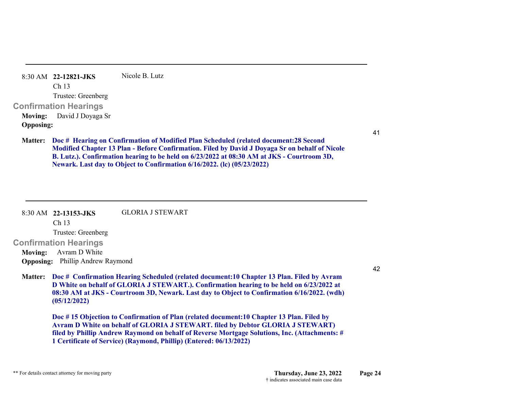|                  | $8:30$ AM 22-12821-JKS       | Nicole B. Lutz |
|------------------|------------------------------|----------------|
|                  | Ch <sub>13</sub>             |                |
|                  | Trustee: Greenberg           |                |
|                  | <b>Confirmation Hearings</b> |                |
|                  | Moving: David J Doyaga Sr    |                |
| <b>Opposing:</b> |                              |                |
|                  |                              |                |

**Doc # Hearing on Confirmation of Modified Plan Scheduled (related document:28 Second Matter: Modified Chapter 13 Plan - Before Confirmation. Filed by David J Doyaga Sr on behalf of Nicole B. Lutz.). Confirmation hearing to be held on 6/23/2022 at 08:30 AM at JKS - Courtroom 3D, Newark. Last day to Object to Confirmation 6/16/2022. (lc) (05/23/2022)**

#### 8:30 AM **22-13153-JKS**  GLORIA J STEWART

Ch 13

Trustee: Greenberg

**Confirmation Hearings** 

**Moving:** Avram D White **Opposing:** Phillip Andrew Raymond

**Doc # Confirmation Hearing Scheduled (related document:10 Chapter 13 Plan. Filed by Avram Matter: D White on behalf of GLORIA J STEWART.). Confirmation hearing to be held on 6/23/2022 at 08:30 AM at JKS - Courtroom 3D, Newark. Last day to Object to Confirmation 6/16/2022. (wdh) (05/12/2022)**

**Doc # 15 Objection to Confirmation of Plan (related document:10 Chapter 13 Plan. Filed by Avram D White on behalf of GLORIA J STEWART. filed by Debtor GLORIA J STEWART) filed by Phillip Andrew Raymond on behalf of Reverse Mortgage Solutions, Inc. (Attachments: # 1 Certificate of Service) (Raymond, Phillip) (Entered: 06/13/2022)**

42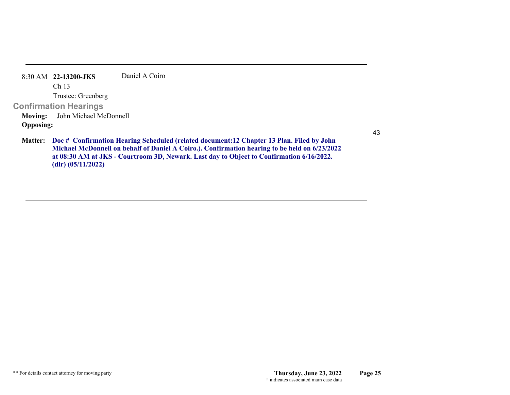|                  | 8:30 AM 22-13200-JKS           | Daniel A Coiro                                        |
|------------------|--------------------------------|-------------------------------------------------------|
|                  | Ch <sub>13</sub>               |                                                       |
|                  | Trustee: Greenberg             |                                                       |
|                  | <b>Confirmation Hearings</b>   |                                                       |
|                  | Moving: John Michael McDonnell |                                                       |
| <b>Opposing:</b> |                                |                                                       |
|                  |                                | <b>Matter:</b> Doc # Confirmation Hearing Scheduled ( |

(related document:12 Chapter 13 Plan. Filed by John **Michael McDonnell on behalf of Daniel A Coiro.). Confirmation hearing to be held on 6/23/2022 at 08:30 AM at JKS - Courtroom 3D, Newark. Last day to Object to Confirmation 6/16/2022. (dlr) (05/11/2022)**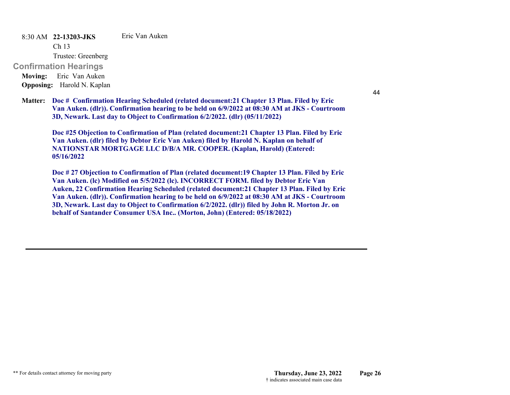8:30 AM **22-13203-JKS**  Eric Van Auken

Ch 13

Trustee: Greenberg

**Confirmation Hearings** 

**Moving:** Eric Van Auken **Opposing:** Harold N. Kaplan

**Doc # Confirmation Hearing Scheduled (related document:21 Chapter 13 Plan. Filed by Eric Matter: Van Auken. (dlr)). Confirmation hearing to be held on 6/9/2022 at 08:30 AM at JKS - Courtroom 3D, Newark. Last day to Object to Confirmation 6/2/2022. (dlr) (05/11/2022)**

**Doc #25 Objection to Confirmation of Plan (related document:21 Chapter 13 Plan. Filed by Eric Van Auken. (dlr) filed by Debtor Eric Van Auken) filed by Harold N. Kaplan on behalf of NATIONSTAR MORTGAGE LLC D/B/A MR. COOPER. (Kaplan, Harold) (Entered: 05/16/2022**

**Doc # 27 Objection to Confirmation of Plan (related document:19 Chapter 13 Plan. Filed by Eric Van Auken. (lc) Modified on 5/5/2022 (lc). INCORRECT FORM. filed by Debtor Eric Van Auken, 22 Confirmation Hearing Scheduled (related document:21 Chapter 13 Plan. Filed by Eric Van Auken. (dlr)). Confirmation hearing to be held on 6/9/2022 at 08:30 AM at JKS - Courtroom 3D, Newark. Last day to Object to Confirmation 6/2/2022. (dlr)) filed by John R. Morton Jr. on behalf of Santander Consumer USA Inc.. (Morton, John) (Entered: 05/18/2022)**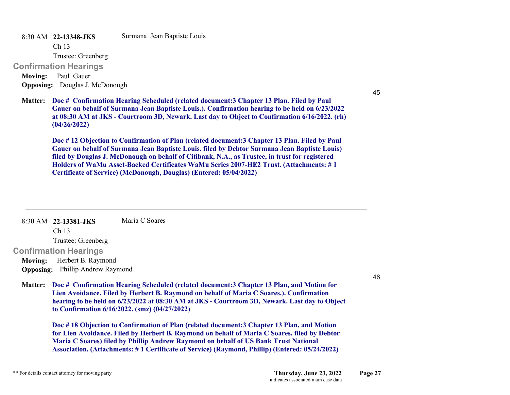8:30 AM **22-13348-JKS**  Surmana Jean Baptiste Louis

Ch 13

Trustee: Greenberg

**Confirmation Hearings** 

**Moving:** Paul Gauer **Opposing:** Douglas J. McDonough

**Doc # Confirmation Hearing Scheduled (related document:3 Chapter 13 Plan. Filed by Paul Matter: Gauer on behalf of Surmana Jean Baptiste Louis.). Confirmation hearing to be held on 6/23/2022 at 08:30 AM at JKS - Courtroom 3D, Newark. Last day to Object to Confirmation 6/16/2022. (rh) (04/26/2022)**

**Doc # 12 Objection to Confirmation of Plan (related document:3 Chapter 13 Plan. Filed by Paul Gauer on behalf of Surmana Jean Baptiste Louis. filed by Debtor Surmana Jean Baptiste Louis) filed by Douglas J. McDonough on behalf of Citibank, N.A., as Trustee, in trust for registered Holders of WaMu Asset-Backed Certificates WaMu Series 2007-HE2 Trust. (Attachments: # 1 Certificate of Service) (McDonough, Douglas) (Entered: 05/04/2022)**

8:30 AM **22-13381-JKS**  Maria C Soares

Ch 13

Trustee: Greenberg

**Confirmation Hearings** 

**Moving:** Herbert B. Raymond **Opposing:** Phillip Andrew Raymond

46

45

**Doc # Confirmation Hearing Scheduled (related document:3 Chapter 13 Plan, and Motion for Matter: Lien Avoidance. Filed by Herbert B. Raymond on behalf of Maria C Soares.). Confirmation hearing to be held on 6/23/2022 at 08:30 AM at JKS - Courtroom 3D, Newark. Last day to Object to Confirmation 6/16/2022. (smz) (04/27/2022)**

**Doc # 18 Objection to Confirmation of Plan (related document:3 Chapter 13 Plan, and Motion for Lien Avoidance. Filed by Herbert B. Raymond on behalf of Maria C Soares. filed by Debtor Maria C Soares) filed by Phillip Andrew Raymond on behalf of US Bank Trust National Association. (Attachments: # 1 Certificate of Service) (Raymond, Phillip) (Entered: 05/24/2022)**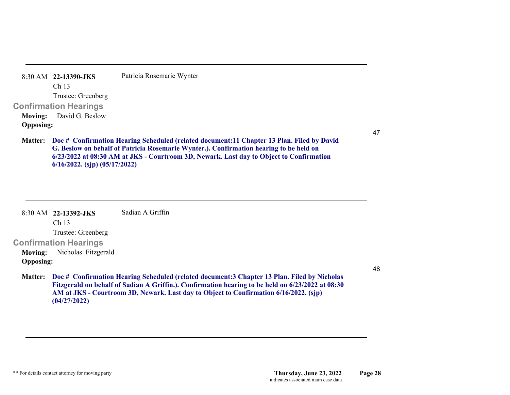|                  | 8:30 AM 22-13390-JKS           | Patricia Rosemarie Wynter |
|------------------|--------------------------------|---------------------------|
|                  | Ch <sub>13</sub>               |                           |
|                  | Trustee: Greenberg             |                           |
|                  | <b>Confirmation Hearings</b>   |                           |
|                  | <b>Moving:</b> David G. Beslow |                           |
| <b>Opposing:</b> |                                |                           |
|                  |                                |                           |

**Doc # Confirmation Hearing Scheduled (related document:11 Chapter 13 Plan. Filed by David Matter: G. Beslow on behalf of Patricia Rosemarie Wynter.). Confirmation hearing to be held on 6/23/2022 at 08:30 AM at JKS - Courtroom 3D, Newark. Last day to Object to Confirmation 6/16/2022. (sjp) (05/17/2022)**

|                  | $8:30$ AM 22-13392-JKS       | Sadian A Griffin                                                                                  |
|------------------|------------------------------|---------------------------------------------------------------------------------------------------|
|                  | Ch <sub>13</sub>             |                                                                                                   |
|                  | Trustee: Greenberg           |                                                                                                   |
|                  | <b>Confirmation Hearings</b> |                                                                                                   |
| <b>Moving:</b>   | Nicholas Fitzgerald          |                                                                                                   |
| <b>Opposing:</b> |                              |                                                                                                   |
| <b>Matter:</b>   |                              | Doc # Confirmation Hearing Scheduled (related document: 3 Chapter 13 Plan. Filed by Nicholas      |
|                  |                              | Fitzgerald on behalf of Sadian A Griffin.). Confirmation hearing to be held on 6/23/2022 at 08:30 |
|                  |                              | AM at JKS - Courtroom 3D, Newark. Last day to Object to Confirmation 6/16/2022. (sjp)             |

**(04/27/2022)**

48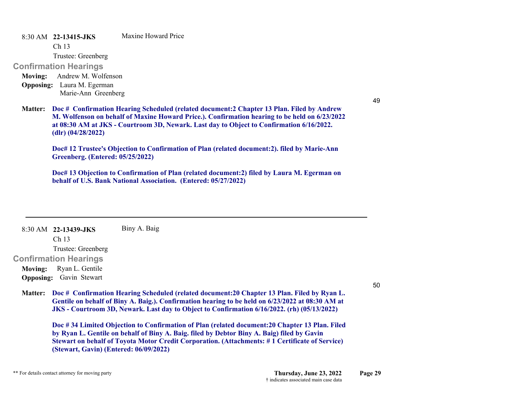8:30 AM **22-13415-JKS**  Maxine Howard Price

Ch 13

Trustee: Greenberg

# **Confirmation Hearings**

**Moving:** Andrew M. Wolfenson **Opposing:** Laura M. Egerman Marie-Ann Greenberg

49

**Doc # Confirmation Hearing Scheduled (related document:2 Chapter 13 Plan. Filed by Andrew Matter: M. Wolfenson on behalf of Maxine Howard Price.). Confirmation hearing to be held on 6/23/2022 at 08:30 AM at JKS - Courtroom 3D, Newark. Last day to Object to Confirmation 6/16/2022. (dlr) (04/28/2022)**

**Doc# 12 Trustee's Objection to Confirmation of Plan (related document:2). filed by Marie-Ann Greenberg. (Entered: 05/25/2022)**

**Doc# 13 Objection to Confirmation of Plan (related document:2) filed by Laura M. Egerman on behalf of U.S. Bank National Association. (Entered: 05/27/2022)**

8:30 AM **22-13439-JKS**  Biny A. Baig

Ch 13

Trustee: Greenberg

**Confirmation Hearings** 

**Moving:** Ryan L. Gentile **Opposing:** Gavin Stewart

50

**Doc # Confirmation Hearing Scheduled (related document:20 Chapter 13 Plan. Filed by Ryan L. Matter: Gentile on behalf of Biny A. Baig.). Confirmation hearing to be held on 6/23/2022 at 08:30 AM at JKS - Courtroom 3D, Newark. Last day to Object to Confirmation 6/16/2022. (rh) (05/13/2022)**

**Doc # 34 Limited Objection to Confirmation of Plan (related document:20 Chapter 13 Plan. Filed by Ryan L. Gentile on behalf of Biny A. Baig. filed by Debtor Biny A. Baig) filed by Gavin Stewart on behalf of Toyota Motor Credit Corporation. (Attachments: # 1 Certificate of Service) (Stewart, Gavin) (Entered: 06/09/2022)**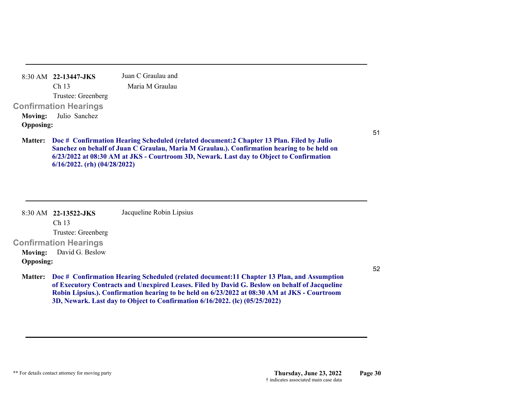| 8:30 AM 22-13447-JKS         |                  |                    |  | Juan C Graulau and |  |  |
|------------------------------|------------------|--------------------|--|--------------------|--|--|
|                              | Ch <sub>13</sub> |                    |  | Maria M Graulau    |  |  |
|                              |                  | Trustee: Greenberg |  |                    |  |  |
| Confirmation Hearings        |                  |                    |  |                    |  |  |
| <b>Moving:</b> Julio Sanchez |                  |                    |  |                    |  |  |
| <b>Opposing:</b>             |                  |                    |  |                    |  |  |
|                              |                  |                    |  |                    |  |  |

**Doc # Confirmation Hearing Scheduled (related document:2 Chapter 13 Plan. Filed by Julio Matter: Sanchez on behalf of Juan C Graulau, Maria M Graulau.). Confirmation hearing to be held on 6/23/2022 at 08:30 AM at JKS - Courtroom 3D, Newark. Last day to Object to Confirmation 6/16/2022. (rh) (04/28/2022)**

|                  | 8:30 AM 22-13522-JKS           | Jacqueline Robin Lipsius                                                                                                                                                                                                                                                           |
|------------------|--------------------------------|------------------------------------------------------------------------------------------------------------------------------------------------------------------------------------------------------------------------------------------------------------------------------------|
|                  | Ch <sub>13</sub>               |                                                                                                                                                                                                                                                                                    |
|                  | Trustee: Greenberg             |                                                                                                                                                                                                                                                                                    |
|                  | <b>Confirmation Hearings</b>   |                                                                                                                                                                                                                                                                                    |
|                  | <b>Moving:</b> David G. Beslow |                                                                                                                                                                                                                                                                                    |
| <b>Opposing:</b> |                                |                                                                                                                                                                                                                                                                                    |
|                  |                                | $\mathbf{M}$ . The contract of $\mathbf{M}$ . The contract of $\mathbf{M}$ and $\mathbf{M}$ and $\mathbf{M}$ and $\mathbf{M}$ and $\mathbf{M}$ and $\mathbf{M}$ and $\mathbf{M}$ and $\mathbf{M}$ and $\mathbf{M}$ are contracted in the contract of $\mathbf{M}$ and $\mathbf{M}$ |

**Doc # Confirmation Hearing Scheduled (related document:11 Chapter 13 Plan, and Assumption Matter: of Executory Contracts and Unexpired Leases. Filed by David G. Beslow on behalf of Jacqueline Robin Lipsius.). Confirmation hearing to be held on 6/23/2022 at 08:30 AM at JKS - Courtroom 3D, Newark. Last day to Object to Confirmation 6/16/2022. (lc) (05/25/2022)**

51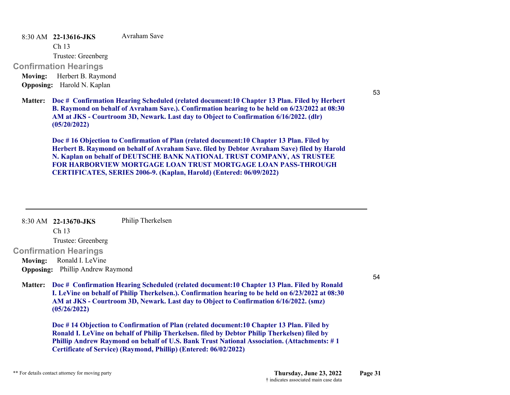8:30 AM **22-13616-JKS**  Avraham Save

Ch 13

Trustee: Greenberg

**Confirmation Hearings** 

**Moving:** Herbert B. Raymond **Opposing:** Harold N. Kaplan

**Doc # Confirmation Hearing Scheduled (related document:10 Chapter 13 Plan. Filed by Herbert Matter: B. Raymond on behalf of Avraham Save.). Confirmation hearing to be held on 6/23/2022 at 08:30 AM at JKS - Courtroom 3D, Newark. Last day to Object to Confirmation 6/16/2022. (dlr) (05/20/2022)**

**Doc # 16 Objection to Confirmation of Plan (related document:10 Chapter 13 Plan. Filed by Herbert B. Raymond on behalf of Avraham Save. filed by Debtor Avraham Save) filed by Harold N. Kaplan on behalf of DEUTSCHE BANK NATIONAL TRUST COMPANY, AS TRUSTEE FOR HARBORVIEW MORTGAGE LOAN TRUST MORTGAGE LOAN PASS-THROUGHCERTIFICATES, SERIES 2006-9. (Kaplan, Harold) (Entered: 06/09/2022)**

|                | 8:30 AM 22-13670-JKS                    | Philip Therkelsen                                                                                                                                                                                                                                                                             |
|----------------|-----------------------------------------|-----------------------------------------------------------------------------------------------------------------------------------------------------------------------------------------------------------------------------------------------------------------------------------------------|
|                |                                         |                                                                                                                                                                                                                                                                                               |
|                | Ch <sub>13</sub>                        |                                                                                                                                                                                                                                                                                               |
|                | Trustee: Greenberg                      |                                                                                                                                                                                                                                                                                               |
|                | <b>Confirmation Hearings</b>            |                                                                                                                                                                                                                                                                                               |
| <b>Moving:</b> | Ronald I. LeVine                        |                                                                                                                                                                                                                                                                                               |
|                | <b>Opposing:</b> Phillip Andrew Raymond |                                                                                                                                                                                                                                                                                               |
|                |                                         |                                                                                                                                                                                                                                                                                               |
| <b>Matter:</b> | (05/26/2022)                            | Doc # Confirmation Hearing Scheduled (related document: 10 Chapter 13 Plan. Filed by Ronald<br>I. LeVine on behalf of Philip Therkelsen.). Confirmation hearing to be held on 6/23/2022 at 08:30<br>AM at JKS - Courtroom 3D, Newark. Last day to Object to Confirmation 6/16/2022. (smz)     |
|                |                                         | Doc #14 Objection to Confirmation of Plan (related document:10 Chapter 13 Plan. Filed by<br>Ronald I. LeVine on behalf of Philip Therkelsen. filed by Debtor Philip Therkelsen) filed by<br><b>Phillip Andrew Raymond on behalf of U.S. Bank Trust National Association. (Attachments: #1</b> |

54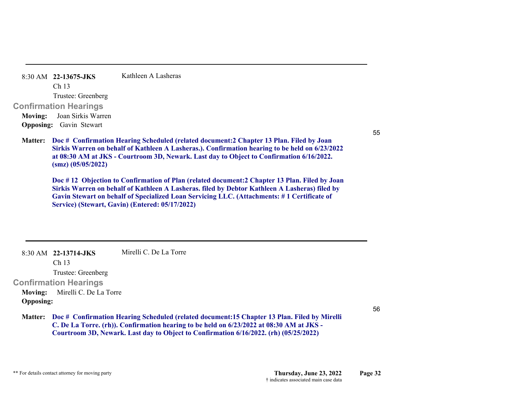| $8:30$ AM 22-13675-JKS         | Kathleen A Lasheras                                                                                                                                                                          |
|--------------------------------|----------------------------------------------------------------------------------------------------------------------------------------------------------------------------------------------|
| Ch <sub>13</sub>               |                                                                                                                                                                                              |
| Trustee: Greenberg             |                                                                                                                                                                                              |
| Confirmation Hearings          |                                                                                                                                                                                              |
| Moving: Joan Sirkis Warren     |                                                                                                                                                                                              |
| <b>Opposing:</b> Gavin Stewart |                                                                                                                                                                                              |
| $(s\text{m}z)$ $(05/05/2022)$  | <b>Matter:</b> Doc # Confirmation Hearing Scheduled (related document<br>Sirkis Warren on behalf of Kathleen A Lasheras.). Confirn<br>at 08:30 AM at JKS - Courtroom 3D, Newark. Last day to |
|                                | Doc #12 Objection to Confirmation of Plan (related docur                                                                                                                                     |

55

**t:2 Chapter 13 Plan. Filed by Joan Sherwish in behalf on 5/23/2022 Object to Confirmation 6/16/2022.** 

**Docata: Pharter 13 Plan. Filed by Joan Sirkis Warren on behalf of Kathleen A Lasheras. filed by Debtor Kathleen A Lasheras) filed by Gavin Stewart on behalf of Specialized Loan Servicing LLC. (Attachments: # 1 Certificate of Service) (Stewart, Gavin) (Entered: 05/17/2022)**

8:30 AM **22-13714-JKS**  Ch 13 Trustee: Greenberg **Confirmation Hearings**  Mirelli C. De La Torre**Moving:** Mirelli C. De La Torre **Opposing:**

56

**Doc # Confirmation Hearing Scheduled (related document:15 Chapter 13 Plan. Filed by Mirelli Matter: C. De La Torre. (rh)). Confirmation hearing to be held on 6/23/2022 at 08:30 AM at JKS - Courtroom 3D, Newark. Last day to Object to Confirmation 6/16/2022. (rh) (05/25/2022)**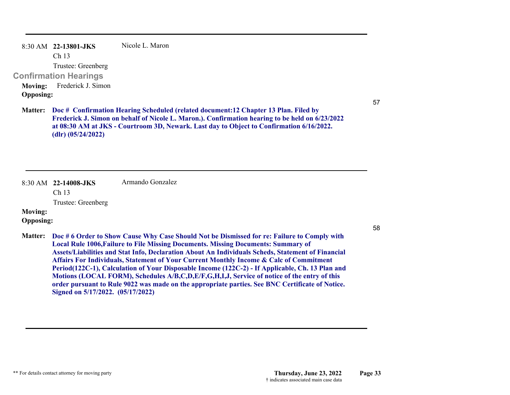|                  | 8:30 AM 22-13801-JKS                               | Nicole L. Maron |
|------------------|----------------------------------------------------|-----------------|
|                  | Ch <sub>13</sub>                                   |                 |
|                  | Trustee: Greenberg                                 |                 |
|                  | Confirmation Hearings                              |                 |
|                  | Moving: Frederick J. Simon                         |                 |
| <b>Opposing:</b> |                                                    |                 |
|                  | <b>Matter:</b> Doc # Confirmation Hearing Schedule |                 |

57

58

**Doc # Confirmation Hearing Scheduled (related document:12 Chapter 13 Plan. Filed by Frederick J. Simon on behalf of Nicole L. Maron.). Confirmation hearing to be held on 6/23/2022 at 08:30 AM at JKS - Courtroom 3D, Newark. Last day to Object to Confirmation 6/16/2022. (dlr) (05/24/2022)**

|                                    | $8:30$ AM $22-14008$ -JKS<br>Ch <sub>13</sub>                                                                                                                                                                                                                                                                                                                                                                                                                                                                                                                                                                                                                                                                                    | Armando Gonzalez |  |  |
|------------------------------------|----------------------------------------------------------------------------------------------------------------------------------------------------------------------------------------------------------------------------------------------------------------------------------------------------------------------------------------------------------------------------------------------------------------------------------------------------------------------------------------------------------------------------------------------------------------------------------------------------------------------------------------------------------------------------------------------------------------------------------|------------------|--|--|
|                                    | Trustee: Greenberg                                                                                                                                                                                                                                                                                                                                                                                                                                                                                                                                                                                                                                                                                                               |                  |  |  |
| <b>Moving:</b>                     |                                                                                                                                                                                                                                                                                                                                                                                                                                                                                                                                                                                                                                                                                                                                  |                  |  |  |
| <b>Opposing:</b><br><b>Matter:</b> | Doc # 6 Order to Show Cause Why Case Should Not be Dismissed for re: Failure to Comply with<br><b>Local Rule 1006, Failure to File Missing Documents. Missing Documents: Summary of</b><br>Assets/Liabilities and Stat Info, Declaration About An Individuals Scheds, Statement of Financial<br>Affairs For Individuals, Statement of Your Current Monthly Income & Calc of Commitment<br>Period(122C-1), Calculation of Your Disposable Income (122C-2) - If Applicable, Ch. 13 Plan and<br>Motions (LOCAL FORM), Schedules A/B,C,D,E/F,G,H,I,J, Service of notice of the entry of this<br>order pursuant to Rule 9022 was made on the appropriate parties. See BNC Certificate of Notice.<br>Signed on 5/17/2022. (05/17/2022) |                  |  |  |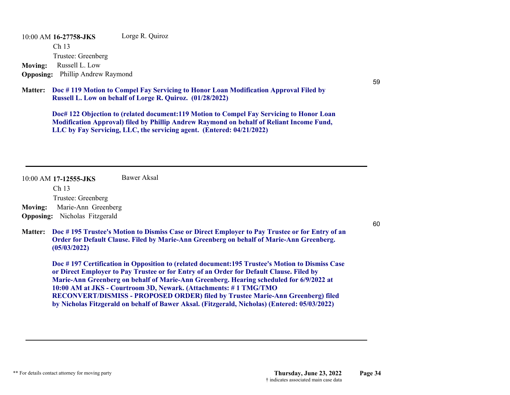10:00 AM **16-27758-JKS**  Ch 13 Trustee: Greenberg Lorge R. Quiroz **Moving:** Russell L. Low **Opposing:** Phillip Andrew Raymond

**Doc # 119 Motion to Compel Fay Servicing to Honor Loan Modification Approval Filed by Matter: Russell L. Low on behalf of Lorge R. Quiroz. (01/28/2022)**

**Doc# 122 Objection to (related document:119 Motion to Compel Fay Servicing to Honor Loan Modification Approval) filed by Phillip Andrew Raymond on behalf of Reliant Income Fund, LLC by Fay Servicing, LLC, the servicing agent. (Entered: 04/21/2022)**

completed 2/12/2; order & cos ok

| $10:00$ AM 17-12555-JKS<br>Ch <sub>13</sub> | Bawer Aksal                                                                                                                                                                                                                                                                                                                                                                                                                                                                                                                                  |
|---------------------------------------------|----------------------------------------------------------------------------------------------------------------------------------------------------------------------------------------------------------------------------------------------------------------------------------------------------------------------------------------------------------------------------------------------------------------------------------------------------------------------------------------------------------------------------------------------|
| Trustee: Greenberg                          | J&K                                                                                                                                                                                                                                                                                                                                                                                                                                                                                                                                          |
| Marie-Ann Greenberg<br><b>Moving:</b>       |                                                                                                                                                                                                                                                                                                                                                                                                                                                                                                                                              |
| Nicholas Fitzgerald<br><b>Opposing:</b>     |                                                                                                                                                                                                                                                                                                                                                                                                                                                                                                                                              |
| <b>Matter:</b><br>(05/03/2022)              | Doc #195 Trustee's Motion to Dismiss Case or Direct Employer to Pay Trustee or for Entry of an<br>Order for Default Clause. Filed by Marie-Ann Greenberg on behalf of Marie-Ann Greenberg.                                                                                                                                                                                                                                                                                                                                                   |
|                                             | Doc #197 Certification in Opposition to (related document:195 Trustee's Motion to Dismiss Case<br>or Direct Employer to Pay Trustee or for Entry of an Order for Default Clause. Filed by<br>Marie-Ann Greenberg on behalf of Marie-Ann Greenberg. Hearing scheduled for 6/9/2022 at<br>10:00 AM at JKS - Courtroom 3D, Newark. (Attachments: #1 TMG/TMO<br>RECONVERT/DISMISS - PROPOSED ORDER) filed by Trustee Marie-Ann Greenberg) filed<br>by Nicholas Fitzgerald on behalf of Bawer Aksal. (Fitzgerald, Nicholas) (Entered: 05/03/2022) |

59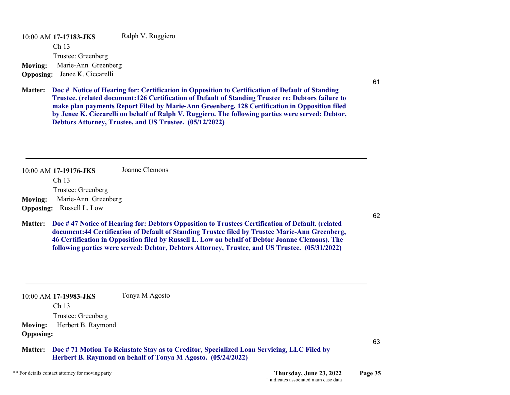10:00 AM **17-17183-JKS**  Ch 13 Trustee: Greenberg Ralph V. Ruggiero **Moving:** Marie-Ann Greenberg **Opposing:** Jenee K. Ciccarelli

# J&K

**Doc # Notice of Hearing for: Certification in Opposition to Certification of Default of Standing Matter: Trustee. (related document:126 Certification of Default of Standing Trustee re: Debtors failure to make plan payments Report Filed by Marie-Ann Greenberg. 128 Certification in Opposition filed by Jenee K. Ciccarelli on behalf of Ralph V. Ruggiero. The following parties were served: Debtor, Debtors Attorney, Trustee, and US Trustee. (05/12/2022)**

10:00 AM **17-19176-JKS**  Ch 13 Trustee: Greenberg Joanne Clemons**Moving:** Marie-Ann Greenberg **Opposing:** Russell L. Low **Doc # 47 Notice of Hearing for: Debtors Opposition to Trustees Certification of Default. (related Matter: document:44 Certification of Default of Standing Trustee filed by Trustee Marie-Ann Greenberg, 46 Certification in Opposition filed by Russell L. Low on behalf of Debtor Joanne Clemons). The following parties were served: Debtor, Debtors Attorney, Trustee, and US Trustee. (05/31/2022)** 10:00 AM **17-19983-JKS**  Ch 13 Tonya M Agosto J&K

Trustee: Greenberg

Tmtd#64

**Moving:** Herbert B. Raymond **Opposing:**

**Doc # 71 Motion To Reinstate Stay as to Creditor, Specialized Loan Servicing, LLC Filed by Matter:Herbert B. Raymond on behalf of Tonya M Agosto. (05/24/2022)**

\*\* For details contact attorney for moving party **Thursday, June 23, 2022 Page 35** order & cos ok

† indicates associated main case data

63

61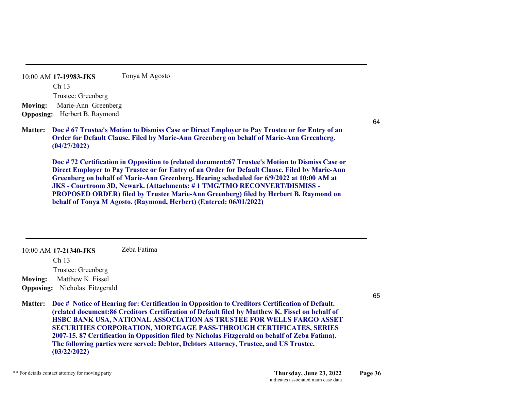10:00 AM **17-19983-JKS**  Ch 13 Trustee: Greenberg Tonya M Agosto **Moving:** Marie-Ann Greenberg **Opposing:** Herbert B. Raymond

# J&K

**Doc # 67 Trustee's Motion to Dismiss Case or Direct Employer to Pay Trustee or for Entry of an Matter: Order for Default Clause. Filed by Marie-Ann Greenberg on behalf of Marie-Ann Greenberg. (04/27/2022)**

**Doc # 72 Certification in Opposition to (related document:67 Trustee's Motion to Dismiss Case or Direct Employer to Pay Trustee or for Entry of an Order for Default Clause. Filed by Marie-Ann Greenberg on behalf of Marie-Ann Greenberg. Hearing scheduled for 6/9/2022 at 10:00 AM at JKS - Courtroom 3D, Newark. (Attachments: # 1 TMG/TMO RECONVERT/DISMISS - PROPOSED ORDER) filed by Trustee Marie-Ann Greenberg) filed by Herbert B. Raymond on behalf of Tonya M Agosto. (Raymond, Herbert) (Entered: 06/01/2022)**

10:00 AM **17-21340-JKS**  Ch 13 Trustee: Greenberg Zeba Fatima**Moving:** Matthew K. Fissel **Opposing:** Nicholas Fitzgerald

**Doc # Notice of Hearing for: Certification in Opposition to Creditors Certification of Default. Matter: (related document:86 Creditors Certification of Default filed by Matthew K. Fissel on behalf of HSBC BANK USA, NATIONAL ASSOCIATION AS TRUSTEE FOR WELLS FARGO ASSET SECURITIES CORPORATION, MORTGAGE PASS-THROUGH CERTIFICATES, SERIES 2007-15. 87 Certification in Opposition filed by Nicholas Fitzgerald on behalf of Zeba Fatima). The following parties were served: Debtor, Debtors Attorney, Trustee, and US Trustee. (03/22/2022)** order & cos ok

65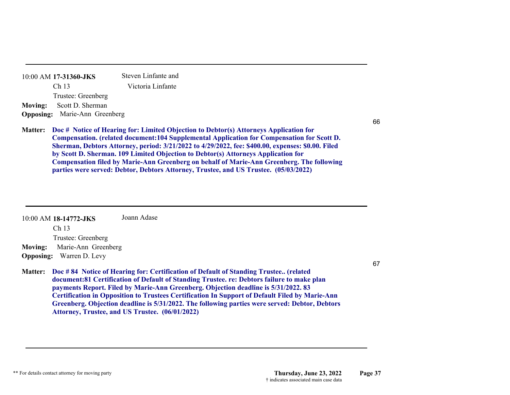|                | Trustee: Greenberg                                                                                                                                                                                                                                                                               |
|----------------|--------------------------------------------------------------------------------------------------------------------------------------------------------------------------------------------------------------------------------------------------------------------------------------------------|
| Moving:        | Scott D. Sherman                                                                                                                                                                                                                                                                                 |
|                | <b>Opposing:</b> Marie-Ann Greenberg                                                                                                                                                                                                                                                             |
|                |                                                                                                                                                                                                                                                                                                  |
| <b>Matter:</b> | Doc # Notice of Hearing for: Limited Objection to Debtor(s) Attorneys Application for                                                                                                                                                                                                            |
|                | <b>Compensation.</b> (related document:104 Supplemental Application for Compensation for                                                                                                                                                                                                         |
|                | Sherman, Debtors Attorney, period: 3/21/2022 to 4/29/2022, fee: \$400.00, expenses: \$0.0                                                                                                                                                                                                        |
|                | $\mathbf{I}$ and $\mathbf{C}$ and $\mathbf{I}$ and $\mathbf{C}$ and $\mathbf{C}$ and $\mathbf{C}$ and $\mathbf{C}$ and $\mathbf{C}$ and $\mathbf{C}$ and $\mathbf{C}$ and $\mathbf{C}$ and $\mathbf{C}$ and $\mathbf{C}$ and $\mathbf{C}$ and $\mathbf{C}$ and $\mathbf{C}$ and $\mathbf{C}$ and |

10:00 AM **17-31360-JKS**  Ch 13

> **Compensation For Compensation for Scott D. I:** 3/21/2022 to 4/29/2022, fee: \$400.00, expenses: \$0.00. Filed **by Scott D. Sherman. 109 Limited Objection to Debtor(s) Attorneys Application for Compensation filed by Marie-Ann Greenberg on behalf of Marie-Ann Greenberg. The following parties were served: Debtor, Debtors Attorney, Trustee, and US Trustee. (05/03/2022)**

Steven Linfante and Victoria Linfante

| 10:00 AM 18-14772-JKS                 | Joann Adase                                                                                                                                                                                                                                                                             |     |
|---------------------------------------|-----------------------------------------------------------------------------------------------------------------------------------------------------------------------------------------------------------------------------------------------------------------------------------------|-----|
| Ch <sub>13</sub>                      |                                                                                                                                                                                                                                                                                         |     |
| Trustee: Greenberg                    |                                                                                                                                                                                                                                                                                         |     |
| Marie-Ann Greenberg<br><b>Moving:</b> |                                                                                                                                                                                                                                                                                         | J&K |
| <b>Opposing:</b> Warren D. Levy       |                                                                                                                                                                                                                                                                                         |     |
|                                       |                                                                                                                                                                                                                                                                                         | 67  |
|                                       | Matter: Doc #84 Notice of Hearing for: Certification of Default of Standing Trustee (related<br>document:81 Certification of Default of Standing Trustee. re: Debtors failure to make plan<br><b>payments Report. Filed by Marie-Ann Greenberg. Objection deadline is 5/31/2022. 83</b> |     |

**payments Report. Filed by Marie-Ann Greenberg. Objection deadline is 5/31/2022. 83 Certification in Opposition to Trustees Certification In Support of Default Filed by Marie-Ann Greenberg. Objection deadline is 5/31/2022. The following parties were served: Debtor, Debtors Attorney, Trustee, and US Trustee. (06/01/2022)**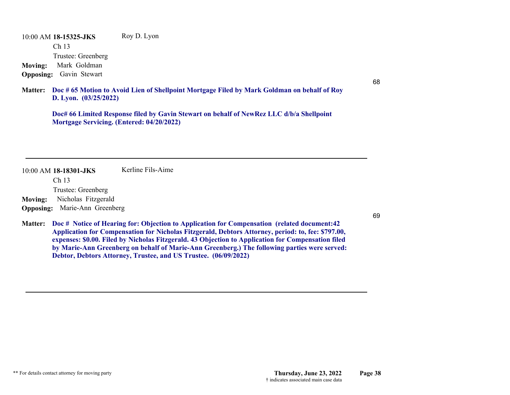10:00 AM **18-15325-JKS**  Ch 13 Trustee: Greenberg Roy D. Lyon **Moving:** Mark Goldman **Opposing:** Gavin Stewart

**Doc # 65 Motion to Avoid Lien of Shellpoint Mortgage Filed by Mark Goldman on behalf of Roy Matter: D. Lyon. (03/25/2022)**

**Doc# 66 Limited Response filed by Gavin Stewart on behalf of NewRez LLC d/b/a Shellpoint Mortgage Servicing. (Entered: 04/20/2022)**

order & cos ok

10:00 AM **18-18301-JKS**  Kerline Fils-Aime

Ch 13

Trustee: Greenberg

**Moving:** Nicholas Fitzgerald

**Opposing:** Marie-Ann Greenberg

**Doc # Notice of Hearing for: Objection to Application for Compensation (related document:42 Matter: Application for Compensation for Nicholas Fitzgerald, Debtors Attorney, period: to, fee: \$797.00, expenses: \$0.00. Filed by Nicholas Fitzgerald. 43 Objection to Application for Compensation filed by Marie-Ann Greenberg on behalf of Marie-Ann Greenberg.) The following parties were served: Debtor, Debtors Attorney, Trustee, and US Trustee. (06/09/2022)**

69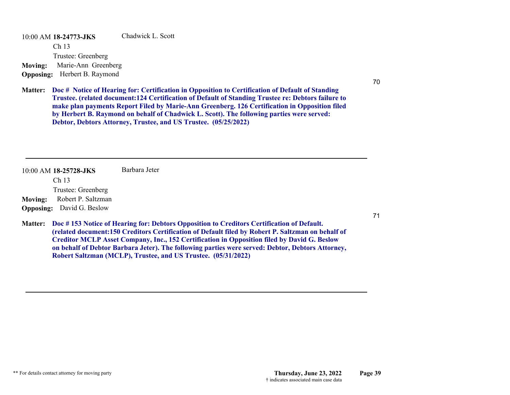10:00 AM **18-24773-JKS**  Ch 13 Trustee: Greenberg Chadwick L. Scott**Moving:** Marie-Ann Greenberg **Opposing:** Herbert B. Raymond

# J&K

**Doc # Notice of Hearing for: Certification in Opposition to Certification of Default of Standing Matter: Trustee. (related document:124 Certification of Default of Standing Trustee re: Debtors failure to make plan payments Report Filed by Marie-Ann Greenberg. 126 Certification in Opposition filed by Herbert B. Raymond on behalf of Chadwick L. Scott). The following parties were served: Debtor, Debtors Attorney, Trustee, and US Trustee. (05/25/2022)**

10:00 AM **18-25728-JKS**  Ch 13 Trustee: Greenberg Barbara Jeter**Moving:** Robert P. Saltzman **Opposing:** David G. Beslow Tcod#72

**Doc # 153 Notice of Hearing for: Debtors Opposition to Creditors Certification of Default. Matter: (related document:150 Creditors Certification of Default filed by Robert P. Saltzman on behalf of Creditor MCLP Asset Company, Inc., 152 Certification in Opposition filed by David G. Beslow on behalf of Debtor Barbara Jeter). The following parties were served: Debtor, Debtors Attorney, Robert Saltzman (MCLP), Trustee, and US Trustee. (05/31/2022)**

order & cos ok

70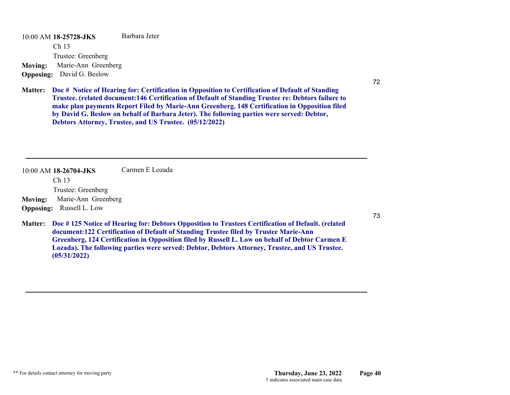10:00 AM **18-25728-JKS**  Ch 13 Trustee: Greenberg Barbara Jeter**Moving:** Marie-Ann Greenberg **Opposing:** David G. Beslow

# J&K

**Doc # Notice of Hearing for: Certification in Opposition to Certification of Default of Standing Matter: Trustee. (related document:146 Certification of Default of Standing Trustee re: Debtors failure to make plan payments Report Filed by Marie-Ann Greenberg. 148 Certification in Opposition filed by David G. Beslow on behalf of Barbara Jeter). The following parties were served: Debtor, Debtors Attorney, Trustee, and US Trustee. (05/12/2022)**

| $10:00$ AM 18-26704-JKS               | Carmen E Lozada |                                                                                                                                                                                                                                                                                                      |
|---------------------------------------|-----------------|------------------------------------------------------------------------------------------------------------------------------------------------------------------------------------------------------------------------------------------------------------------------------------------------------|
| Ch <sub>13</sub>                      |                 |                                                                                                                                                                                                                                                                                                      |
| Trustee: Greenberg                    |                 | J&K                                                                                                                                                                                                                                                                                                  |
| Marie-Ann Greenberg<br><b>Moving:</b> |                 |                                                                                                                                                                                                                                                                                                      |
| <b>Opposing:</b> Russell L. Low       |                 |                                                                                                                                                                                                                                                                                                      |
|                                       |                 | Matter: Doc #125 Notice of Hearing for: Debtors Opposition to Trustees Certification of Default. (related<br>document:122 Certification of Default of Standing Trustee filed by Trustee Marie-Ann<br>Greenberg, 124 Certification in Opposition filed by Russell L. Low on behalf of Debtor Carmen E |

**Lozada). The following parties were served: Debtor, Debtors Attorney, Trustee, and US Trustee.** 

**(05/31/2022)**

72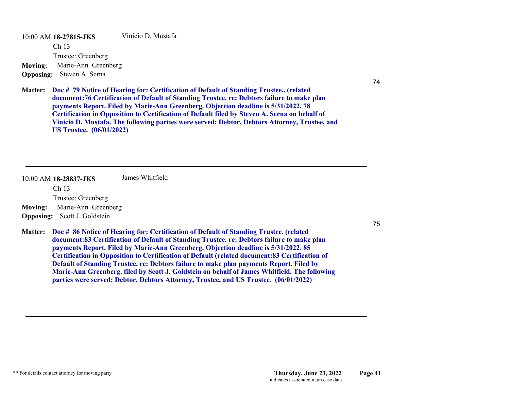10:00 AM **18-27815-JKS**  Ch 13 Trustee: Greenberg Vinicio D. Mustafa**Moving:** Marie-Ann Greenberg **Opposing:** Steven A. Serna

**Doc # 79 Notice of Hearing for: Certification of Default of Standing Trustee.. (related Matter: document:76 Certification of Default of Standing Trustee. re: Debtors failure to make plan payments Report. Filed by Marie-Ann Greenberg. Objection deadline is 5/31/2022. 78 Certification in Opposition to Certification of Default filed by Steven A. Serna on behalf of Vinicio D. Mustafa. The following parties were served: Debtor, Debtors Attorney, Trustee, and US Trustee. (06/01/2022)**

J&K

|                  | 10:00 AM 18-28837-JKS<br>Ch <sub>13</sub> | James Whitfield |                                                                                                                                                                                                                                                                                                                                                                                                                                                                                                                                                                                                                                                                       |
|------------------|-------------------------------------------|-----------------|-----------------------------------------------------------------------------------------------------------------------------------------------------------------------------------------------------------------------------------------------------------------------------------------------------------------------------------------------------------------------------------------------------------------------------------------------------------------------------------------------------------------------------------------------------------------------------------------------------------------------------------------------------------------------|
|                  | Trustee: Greenberg                        |                 | J&K                                                                                                                                                                                                                                                                                                                                                                                                                                                                                                                                                                                                                                                                   |
| <b>Moving:</b>   | Marie-Ann Greenberg                       |                 |                                                                                                                                                                                                                                                                                                                                                                                                                                                                                                                                                                                                                                                                       |
| <b>Opposing:</b> | Scott J. Goldstein                        |                 |                                                                                                                                                                                                                                                                                                                                                                                                                                                                                                                                                                                                                                                                       |
| <b>Matter:</b>   |                                           |                 | Doc # 86 Notice of Hearing for: Certification of Default of Standing Trustee. (related<br>document:83 Certification of Default of Standing Trustee. re: Debtors failure to make plan<br>payments Report. Filed by Marie-Ann Greenberg. Objection deadline is 5/31/2022. 85<br><b>Certification in Opposition to Certification of Default (related document:83 Certification of</b><br>Default of Standing Trustee. re: Debtors failure to make plan payments Report. Filed by<br>Marie-Ann Greenberg. filed by Scott J. Goldstein on behalf of James Whitfield. The following<br>parties were served: Debtor, Debtors Attorney, Trustee, and US Trustee. (06/01/2022) |

74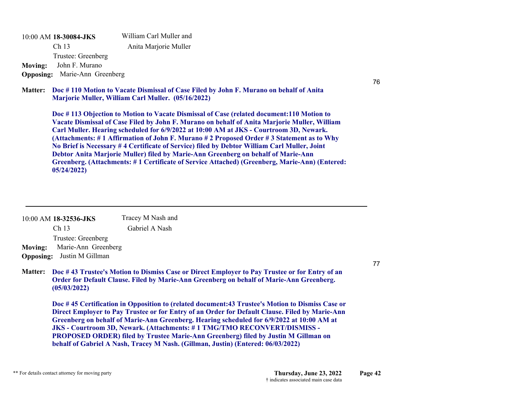10:00 AM **18-30084-JKS**  Ch 13 Trustee: Greenberg William Carl Muller and Anita Marjorie Muller **Moving:** John F. Murano **Opposing:** Marie-Ann Greenberg

**Doc # 110 Motion to Vacate Dismissal of Case Filed by John F. Murano on behalf of Anita Matter: Marjorie Muller, William Carl Muller. (05/16/2022)**

**Doc # 113 Objection to Motion to Vacate Dismissal of Case (related document:110 Motion to Vacate Dismissal of Case Filed by John F. Murano on behalf of Anita Marjorie Muller, William Carl Muller. Hearing scheduled for 6/9/2022 at 10:00 AM at JKS - Courtroom 3D, Newark. (Attachments: # 1 Affirmation of John F. Murano # 2 Proposed Order # 3 Statement as to Why No Brief is Necessary # 4 Certificate of Service) filed by Debtor William Carl Muller, Joint Debtor Anita Marjorie Muller) filed by Marie-Ann Greenberg on behalf of Marie-Ann Greenberg. (Attachments: # 1 Certificate of Service Attached) (Greenberg, Marie-Ann) (Entered: 05/24/2022)**

| 10:00 AM 18-32536-JKS                 | Tracey M Nash and |     |
|---------------------------------------|-------------------|-----|
| Ch <sub>13</sub>                      | Gabriel A Nash    |     |
| Trustee: Greenberg                    |                   |     |
| Marie-Ann Greenberg<br><b>Moving:</b> |                   | J&K |
| <b>Opposing:</b> Justin M Gillman     |                   |     |
| . <del>.</del>                        | _____             |     |

**Doc # 43 Trustee's Motion to Dismiss Case or Direct Employer to Pay Trustee or for Entry of an Matter: Order for Default Clause. Filed by Marie-Ann Greenberg on behalf of Marie-Ann Greenberg. (05/03/2022)**

**Doc # 45 Certification in Opposition to (related document:43 Trustee's Motion to Dismiss Case or Direct Employer to Pay Trustee or for Entry of an Order for Default Clause. Filed by Marie-Ann Greenberg on behalf of Marie-Ann Greenberg. Hearing scheduled for 6/9/2022 at 10:00 AM at JKS - Courtroom 3D, Newark. (Attachments: # 1 TMG/TMO RECONVERT/DISMISS - PROPOSED ORDER) filed by Trustee Marie-Ann Greenberg) filed by Justin M Gillman on behalf of Gabriel A Nash, Tracey M Nash. (Gillman, Justin) (Entered: 06/03/2022)**

77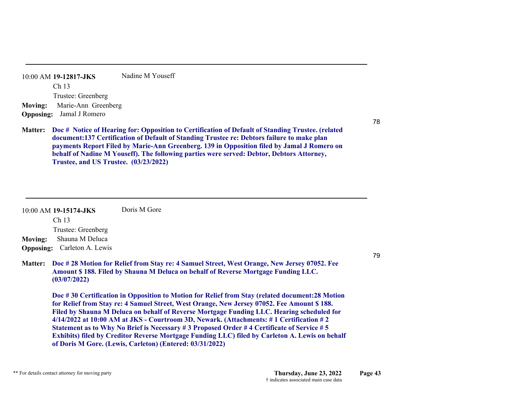10:00 AM **19-12817-JKS**  Ch 13 Trustee: Greenberg Nadine M Youseff**Moving:** Marie-Ann Greenberg **Opposing:** Jamal J Romero

J&K

**Doc # Notice of Hearing for: Opposition to Certification of Default of Standing Trustee. (related Matter: document:137 Certification of Default of Standing Trustee re: Debtors failure to make plan payments Report Filed by Marie-Ann Greenberg. 139 in Opposition filed by Jamal J Romero on behalf of Nadine M Youseff). The following parties were served: Debtor, Debtors Attorney, Trustee, and US Trustee. (03/23/2022)**

| 10:00 AM 19-15174-JKS              | Doris M Gore |
|------------------------------------|--------------|
| Ch <sub>13</sub>                   |              |
| Trustee: Greenberg                 |              |
| <b>Moving:</b> Shauna M Deluca     |              |
| <b>Opposing:</b> Carleton A. Lewis |              |

**Doc # 28 Motion for Relief from Stay re: 4 Samuel Street, West Orange, New Jersey 07052. Fee Matter: Amount \$ 188. Filed by Shauna M Deluca on behalf of Reverse Mortgage Funding LLC. (03/07/2022)**

**Doc # 30 Certification in Opposition to Motion for Relief from Stay (related document:28 Motion for Relief from Stay re: 4 Samuel Street, West Orange, New Jersey 07052. Fee Amount \$ 188. Filed by Shauna M Deluca on behalf of Reverse Mortgage Funding LLC. Hearing scheduled for 4/14/2022 at 10:00 AM at JKS - Courtroom 3D, Newark. (Attachments: # 1 Certification # 2 Statement as to Why No Brief is Necessary # 3 Proposed Order # 4 Certificate of Service # 5 Exhibits) filed by Creditor Reverse Mortgage Funding LLC) filed by Carleton A. Lewis on behalf of Doris M Gore. (Lewis, Carleton) (Entered: 03/31/2022)**

order & cos ok

79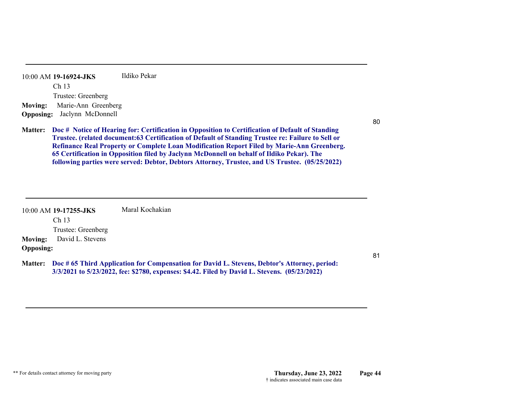| 10:00 AM 19-16924-JKS                 | Ildiko Pekar                                                                                                                                                                                                  |
|---------------------------------------|---------------------------------------------------------------------------------------------------------------------------------------------------------------------------------------------------------------|
| Ch <sub>13</sub>                      |                                                                                                                                                                                                               |
| Trustee: Greenberg                    | J&K                                                                                                                                                                                                           |
| Marie-Ann Greenberg<br><b>Moving:</b> |                                                                                                                                                                                                               |
| <b>Opposing:</b> Jaclynn McDonnell    |                                                                                                                                                                                                               |
|                                       | Matter: Doc # Notice of Hearing for: Certification in Opposition to Certification of Default of Standing<br>Trustee. (related document:63 Certification of Default of Standing Trustee re: Failure to Sell or |

**Failure to Sell or Refinance Real Property or Complete Loan Modification Report Filed by Marie-Ann Greenberg. 65 Certification in Opposition filed by Jaclynn McDonnell on behalf of Ildiko Pekar). The following parties were served: Debtor, Debtors Attorney, Trustee, and US Trustee. (05/25/2022)**

|                  | $10:00$ AM 19-17255-JKS | Maral Kochakian                                                                                                                                                                              |
|------------------|-------------------------|----------------------------------------------------------------------------------------------------------------------------------------------------------------------------------------------|
|                  | Ch <sub>13</sub>        |                                                                                                                                                                                              |
|                  | Trustee: Greenberg      |                                                                                                                                                                                              |
| <b>Moving:</b>   | David L. Stevens        |                                                                                                                                                                                              |
| <b>Opposing:</b> |                         |                                                                                                                                                                                              |
| <b>Matter:</b>   |                         | Doc #65 Third Application for Compensation for David L. Stevens, Debtor's Attorney, period:<br>3/3/2021 to 5/23/2022, fee: \$2780, expenses: \$4.42. Filed by David L. Stevens. (05/23/2022) |

T-no obj; order & cos ok

80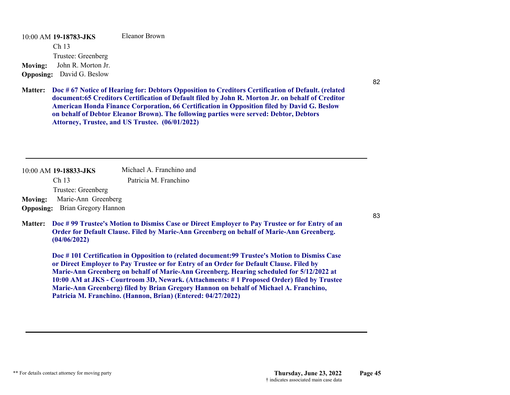10:00 AM **19-18783-JKS**  Ch 13 Trustee: Greenberg Eleanor Brown**Moving:** John R. Morton Jr. **Opposing:** David G. Beslow

**Doc # 67 Notice of Hearing for: Debtors Opposition to Creditors Certification of Default. (related Matter: document:65 Creditors Certification of Default filed by John R. Morton Jr. on behalf of Creditor American Honda Finance Corporation, 66 Certification in Opposition filed by David G. Beslow on behalf of Debtor Eleanor Brown). The following parties were served: Debtor, Debtors Attorney, Trustee, and US Trustee. (06/01/2022)**

order & cos ok

10:00 AM **19-18833-JKS**  Ch 13 Trustee: Greenberg Michael A. Franchino and Patricia M. Franchino**Moving:** Marie-Ann Greenberg **Opposing:** Brian Gregory Hannon **Doc # 99 Trustee's Motion to Dismiss Case or Direct Employer to Pay Trustee or for Entry of an Matter: Order for Default Clause. Filed by Marie-Ann Greenberg on behalf of Marie-Ann Greenberg. (04/06/2022) Doc # 101 Certification in Opposition to (related document:99 Trustee's Motion to Dismiss Case or Direct Employer to Pay Trustee or for Entry of an Order for Default Clause. Filed by Marie-Ann Greenberg on behalf of Marie-Ann Greenberg. Hearing scheduled for 5/12/2022 at 10:00 AM at JKS - Courtroom 3D, Newark. (Attachments: # 1 Proposed Order) filed by Trustee Marie-Ann Greenberg) filed by Brian Gregory Hannon on behalf of Michael A. Franchino, Patricia M. Franchino. (Hannon, Brian) (Entered: 04/27/2022)** JVS

82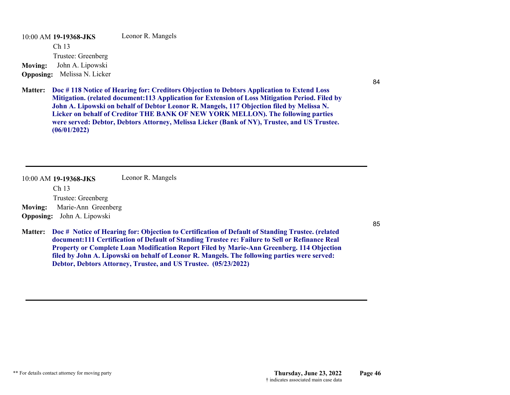10:00 AM **19-19368-JKS**  Ch 13 Trustee: Greenberg Leonor R. Mangels **Moving:** John A. Lipowski **Opposing:** Melissa N. Licker

Tcod#85

**Doc # 118 Notice of Hearing for: Creditors Objection to Debtors Application to Extend Loss Matter: Mitigation. (related document:113 Application for Extension of Loss Mitigation Period. Filed by John A. Lipowski on behalf of Debtor Leonor R. Mangels, 117 Objection filed by Melissa N. Licker on behalf of Creditor THE BANK OF NEW YORK MELLON). The following parties were served: Debtor, Debtors Attorney, Melissa Licker (Bank of NY), Trustee, and US Trustee. (06/01/2022)**

Y- no obj; order & cos ok

|                | 10:00 AM 19-19368-JKS             | Leonor R. Mangels                                                                                                                                                                                                                                                                                                                                                                                                                                                           |        |
|----------------|-----------------------------------|-----------------------------------------------------------------------------------------------------------------------------------------------------------------------------------------------------------------------------------------------------------------------------------------------------------------------------------------------------------------------------------------------------------------------------------------------------------------------------|--------|
|                | Ch <sub>13</sub>                  |                                                                                                                                                                                                                                                                                                                                                                                                                                                                             |        |
|                | Trustee: Greenberg                |                                                                                                                                                                                                                                                                                                                                                                                                                                                                             |        |
| <b>Moving:</b> | Marie-Ann Greenberg               |                                                                                                                                                                                                                                                                                                                                                                                                                                                                             | $J\&K$ |
|                | <b>Opposing:</b> John A. Lipowski |                                                                                                                                                                                                                                                                                                                                                                                                                                                                             |        |
|                |                                   | Matter: Doc # Notice of Hearing for: Objection to Certification of Default of Standing Trustee. (related<br>document:111 Certification of Default of Standing Trustee re: Failure to Sell or Refinance Real<br>Property or Complete Loan Modification Report Filed by Marie-Ann Greenberg. 114 Objection<br>filed by John A. Lipowski on behalf of Leonor R. Mangels. The following parties were served:<br>Debtor, Debtors Attorney, Trustee, and US Trustee. (05/23/2022) |        |

84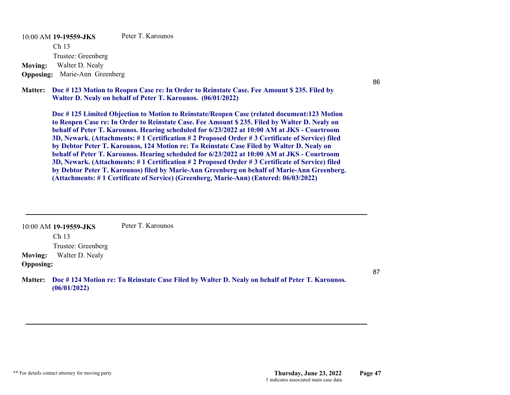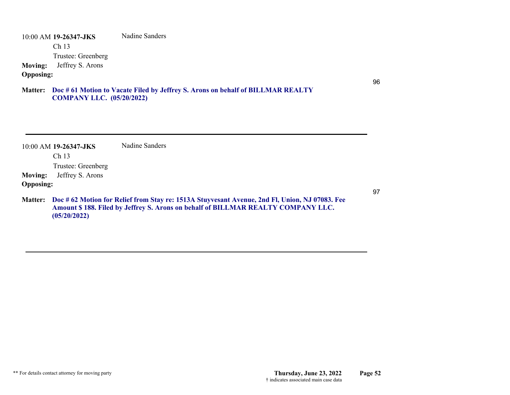|                                    | 10:00 AM 19-26347-JKS                  | Nadine Sanders                                                                                                                                                                     |  |                                                                                                           |
|------------------------------------|----------------------------------------|------------------------------------------------------------------------------------------------------------------------------------------------------------------------------------|--|-----------------------------------------------------------------------------------------------------------|
|                                    | Ch <sub>13</sub>                       |                                                                                                                                                                                    |  |                                                                                                           |
| <b>Moving:</b><br><b>Opposing:</b> | Trustee: Greenberg<br>Jeffrey S. Arons | see $\#97$                                                                                                                                                                         |  |                                                                                                           |
|                                    |                                        |                                                                                                                                                                                    |  | 96                                                                                                        |
|                                    |                                        | Matter: Doc #61 Motion to Vacate Filed by Jeffrey S. Arons on behalf of BILLMAR REALTY                                                                                             |  |                                                                                                           |
|                                    |                                        | <b>RUUHFWLRQ1RWLFHLQQHFWURQLFLOLQJUHODWHGGRFRHQW0RWLRQWRDFDWHILOHGE8QNQRZQROH8H%B3\$&amp;RWLRQIRU</b>                                                                              |  |                                                                                                           |
|                                    |                                        | 500LHIJJRP&DILOHGE&QNQRZQROHXH%A3\$&HRIJURU\$LQFRUUHFWIRUPRIRUGHUZDVVKPLWWHGZLWKWKLVPRWLRQ                                                                                         |  |                                                                                                           |
|                                    |                                        |                                                                                                                                                                                    |  | 3OHDVHHPDLOWKHFRUUHFWRUGHUIRUPWRKDPEHUVHPDLO,QDGGLWLRQRFXHQWLVDGXOLFDWHRIGRFXHQWILOHGE\HIIUH\$TRQVPIIQWHU |
|                                    |                                        |                                                                                                                                                                                    |  |                                                                                                           |
|                                    | 10:00 AM 19-26347-JKS                  | Nadine Sanders                                                                                                                                                                     |  |                                                                                                           |
|                                    | Ch 13                                  |                                                                                                                                                                                    |  |                                                                                                           |
|                                    | Trustee: Greenberg                     |                                                                                                                                                                                    |  |                                                                                                           |
| <b>Moving:</b>                     | Jeffrey S. Arons                       |                                                                                                                                                                                    |  |                                                                                                           |
| <b>Opposing:</b>                   |                                        |                                                                                                                                                                                    |  | 97                                                                                                        |
| <b>Matter:</b>                     | (05/20/2022)                           | Doc # 62 Motion for Relief from Stay re: 1513A Stuyvesant Avenue, 2nd Fl, Union, NJ 07083. Fee<br>Amount \$188. Filed by Jeffrey S. Arons on behalf of BILLMAR REALTY COMPANY LLC. |  |                                                                                                           |
|                                    |                                        | <b>RUGHUFRVEWZDVOLQNHGWR</b>                                                                                                                                                       |  |                                                                                                           |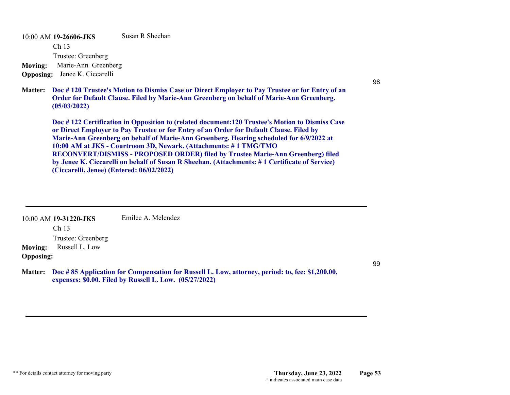10:00 AM **19-26606-JKS**  Ch 13 Trustee: Greenberg Susan R Sheehan**Moving:** Marie-Ann Greenberg **Opposing:** Jenee K. Ciccarelli

# J&K

**Doc # 120 Trustee's Motion to Dismiss Case or Direct Employer to Pay Trustee or for Entry of an Matter: Order for Default Clause. Filed by Marie-Ann Greenberg on behalf of Marie-Ann Greenberg. (05/03/2022)**

**Doc # 122 Certification in Opposition to (related document:120 Trustee's Motion to Dismiss Case or Direct Employer to Pay Trustee or for Entry of an Order for Default Clause. Filed by Marie-Ann Greenberg on behalf of Marie-Ann Greenberg. Hearing scheduled for 6/9/2022 at 10:00 AM at JKS - Courtroom 3D, Newark. (Attachments: # 1 TMG/TMO RECONVERT/DISMISS - PROPOSED ORDER) filed by Trustee Marie-Ann Greenberg) filed by Jenee K. Ciccarelli on behalf of Susan R Sheehan. (Attachments: # 1 Certificate of Service) (Ciccarelli, Jenee) (Entered: 06/02/2022)**

|                  | 10:00 AM 19-31220-JKS                                    | Emilce A. Melendez                                                                                                                                         |
|------------------|----------------------------------------------------------|------------------------------------------------------------------------------------------------------------------------------------------------------------|
| <b>Moving:</b>   | Ch <sub>13</sub><br>Trustee: Greenberg<br>Russell L. Low | Tcod#100                                                                                                                                                   |
| <b>Opposing:</b> |                                                          |                                                                                                                                                            |
| <b>Matter:</b>   |                                                          | Doc #85 Application for Compensation for Russell L. Low, attorney, period: to, fee: \$1,200.00,<br>expenses: \$0.00. Filed by Russell L. Low. (05/27/2022) |

# T- no obj; order & cos ok

99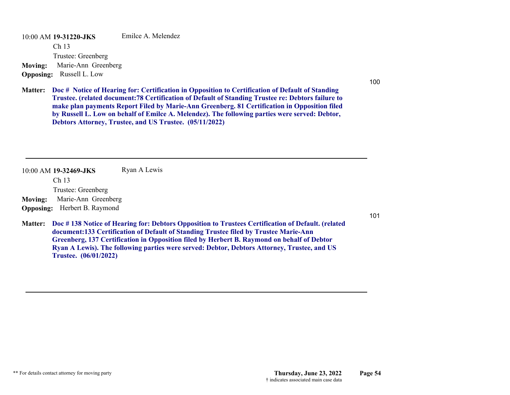10:00 AM **19-31220-JKS**  Ch 13 Trustee: Greenberg Emilce A. Melendez**Moving:** Marie-Ann Greenberg **Opposing:** Russell L. Low

# J&K

**Doc # Notice of Hearing for: Certification in Opposition to Certification of Default of Standing Matter: Trustee. (related document:78 Certification of Default of Standing Trustee re: Debtors failure to make plan payments Report Filed by Marie-Ann Greenberg. 81 Certification in Opposition filed by Russell L. Low on behalf of Emilce A. Melendez). The following parties were served: Debtor, Debtors Attorney, Trustee, and US Trustee. (05/11/2022)**

10:00 AM **19-32469-JKS**  Ch 13 Trustee: Greenberg Ryan A Lewis **Moving:** Marie-Ann Greenberg

**Opposing:** Herbert B. Raymond

**Doc # 138 Notice of Hearing for: Debtors Opposition to Trustees Certification of Default. (related Matter: document:133 Certification of Default of Standing Trustee filed by Trustee Marie-Ann Greenberg, 137 Certification in Opposition filed by Herbert B. Raymond on behalf of Debtor Ryan A Lewis). The following parties were served: Debtor, Debtors Attorney, Trustee, and US Trustee. (06/01/2022)**

101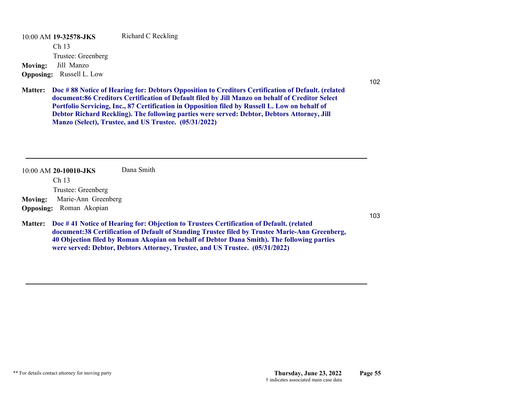10:00 AM **19-32578-JKS**  Ch 13 Trustee: Greenberg Richard C Reckling **Moving:** Jill Manzo **Opposing:** Russell L. Low

102

**Doc # 88 Notice of Hearing for: Debtors Opposition to Creditors Certification of Default. (related Matter: document:86 Creditors Certification of Default filed by Jill Manzo on behalf of Creditor Select Portfolio Servicing, Inc., 87 Certification in Opposition filed by Russell L. Low on behalf of Debtor Richard Reckling). The following parties were served: Debtor, Debtors Attorney, Jill Manzo (Select), Trustee, and US Trustee. (05/31/2022)**

Dana Smith

10:00 AM **20-10010-JKS**  Ch 13 Trustee: Greenberg **Moving:** Marie-Ann Greenberg

**Opposing:** Roman Akopian

**Doc # 41 Notice of Hearing for: Objection to Trustees Certification of Default. (related Matter: document:38 Certification of Default of Standing Trustee filed by Trustee Marie-Ann Greenberg, 40 Objection filed by Roman Akopian on behalf of Debtor Dana Smith). The following parties were served: Debtor, Debtors Attorney, Trustee, and US Trustee. (05/31/2022)**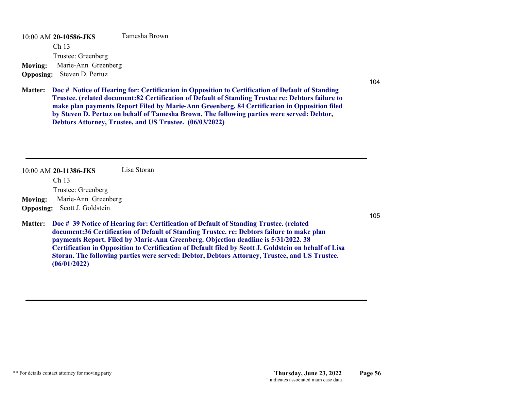10:00 AM **20-10586-JKS**  Ch 13 Trustee: Greenberg Tamesha Brown**Moving:** Marie-Ann Greenberg **Opposing:** Steven D. Pertuz

104

**Doc # Notice of Hearing for: Certification in Opposition to Certification of Default of Standing Matter: Trustee. (related document:82 Certification of Default of Standing Trustee re: Debtors failure to make plan payments Report Filed by Marie-Ann Greenberg. 84 Certification in Opposition filed by Steven D. Pertuz on behalf of Tamesha Brown. The following parties were served: Debtor, Debtors Attorney, Trustee, and US Trustee. (06/03/2022)**

10:00 AM **20-11386-JKS**  Lisa Storan

Ch 13

Trustee: Greenberg

**Moving:** Marie-Ann Greenberg **Opposing:** Scott J. Goldstein

**Doc # 39 Notice of Hearing for: Certification of Default of Standing Trustee. (related Matter: document:36 Certification of Default of Standing Trustee. re: Debtors failure to make plan payments Report. Filed by Marie-Ann Greenberg. Objection deadline is 5/31/2022. 38 Certification in Opposition to Certification of Default filed by Scott J. Goldstein on behalf of Lisa Storan. The following parties were served: Debtor, Debtors Attorney, Trustee, and US Trustee. (06/01/2022)**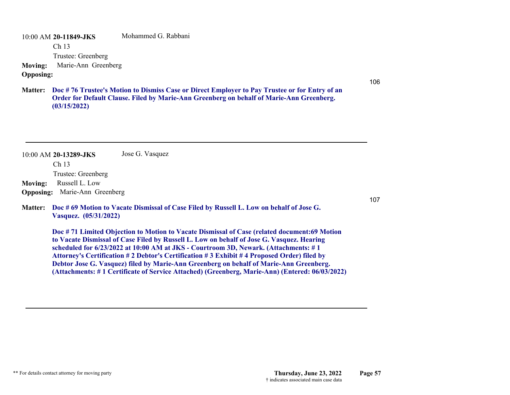10:00 AM **20-11849-JKS**  Ch 13 Trustee: Greenberg Mohammed G. Rabbani**Moving:** Marie-Ann Greenberg **Opposing:**

**Doc # 76 Trustee's Motion to Dismiss Case or Direct Employer to Pay Trustee or for Entry of an Matter: Order for Default Clause. Filed by Marie-Ann Greenberg on behalf of Marie-Ann Greenberg. (03/15/2022)**

10:00 AM **20-13289-JKS**  Ch 13 Trustee: Greenberg Jose G. Vasquez **Moving:** Russell L. Low **Opposing:** Marie-Ann Greenberg **Doc # 69 Motion to Vacate Dismissal of Case Filed by Russell L. Low on behalf of Jose G. Matter: Vasquez. (05/31/2022)**

> **Doc # 71 Limited Objection to Motion to Vacate Dismissal of Case (related document:69 Motion to Vacate Dismissal of Case Filed by Russell L. Low on behalf of Jose G. Vasquez. Hearing scheduled for 6/23/2022 at 10:00 AM at JKS - Courtroom 3D, Newark. (Attachments: # 1 Attorney's Certification # 2 Debtor's Certification # 3 Exhibit # 4 Proposed Order) filed by Debtor Jose G. Vasquez) filed by Marie-Ann Greenberg on behalf of Marie-Ann Greenberg. (Attachments: # 1 Certificate of Service Attached) (Greenberg, Marie-Ann) (Entered: 06/03/2022)**

107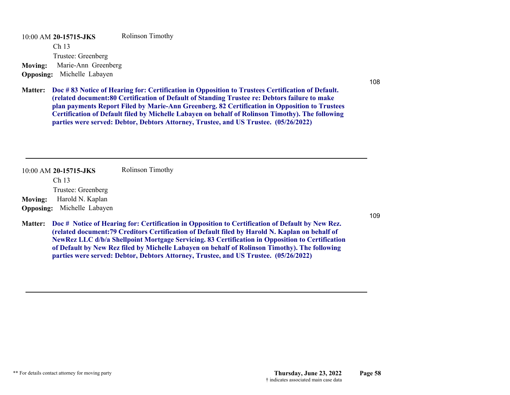10:00 AM **20-15715-JKS**  Ch 13 Trustee: Greenberg Rolinson Timothy **Moving:** Marie-Ann Greenberg **Opposing:** Michelle Labayen

108

**Doc # 83 Notice of Hearing for: Certification in Opposition to Trustees Certification of Default. Matter: (related document:80 Certification of Default of Standing Trustee re: Debtors failure to make plan payments Report Filed by Marie-Ann Greenberg. 82 Certification in Opposition to Trustees Certification of Default filed by Michelle Labayen on behalf of Rolinson Timothy). The following parties were served: Debtor, Debtors Attorney, Trustee, and US Trustee. (05/26/2022)**

10:00 AM **20-15715-JKS**  Ch 13 Trustee: Greenberg Rolinson Timothy **Moving:** Harold N. Kaplan **Opposing:** Michelle Labayen

**Doc # Notice of Hearing for: Certification in Opposition to Certification of Default by New Rez. Matter: (related document:79 Creditors Certification of Default filed by Harold N. Kaplan on behalf of NewRez LLC d/b/a Shellpoint Mortgage Servicing. 83 Certification in Opposition to Certification of Default by New Rez filed by Michelle Labayen on behalf of Rolinson Timothy). The following parties were served: Debtor, Debtors Attorney, Trustee, and US Trustee. (05/26/2022)**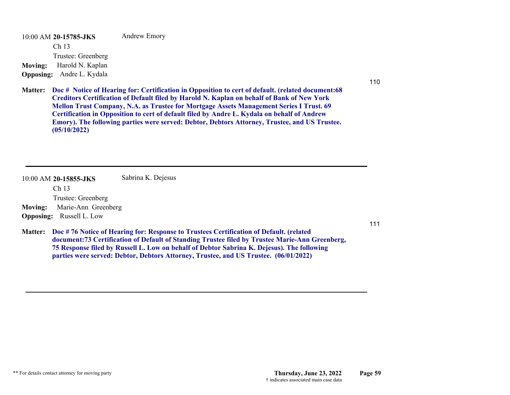10:00 AM **20-15785-JKS**  Ch 13 Trustee: Greenberg Andrew Emory **Moving:** Harold N. Kaplan **Opposing:** Andre L. Kydala

110

111

**Doc # Notice of Hearing for: Certification in Opposition to cert of default. (related document:68 Matter: Creditors Certification of Default filed by Harold N. Kaplan on behalf of Bank of New York Mellon Trust Company, N.A. as Trustee for Mortgage Assets Management Series I Trust. 69 Certification in Opposition to cert of default filed by Andre L. Kydala on behalf of Andrew Emory). The following parties were served: Debtor, Debtors Attorney, Trustee, and US Trustee. (05/10/2022)**

| 10:00 AM 20-15855-JKS                 | Sabrina K. Dejesus                                                                                                                                                                                                                                                                              |
|---------------------------------------|-------------------------------------------------------------------------------------------------------------------------------------------------------------------------------------------------------------------------------------------------------------------------------------------------|
| Ch <sub>13</sub>                      |                                                                                                                                                                                                                                                                                                 |
| Trustee: Greenberg                    |                                                                                                                                                                                                                                                                                                 |
| Marie-Ann Greenberg<br><b>Moving:</b> |                                                                                                                                                                                                                                                                                                 |
| <b>Opposing:</b> Russell L. Low       |                                                                                                                                                                                                                                                                                                 |
|                                       | Matter: Doc #76 Notice of Hearing for: Response to Trustees Certification of Default. (related<br>document: 73 Certification of Default of Standing Trustee filed by Trustee Marie-Ann Greenberg,<br>75 Response filed by Russell L. Low on behalf of Debtor Sabrina K. Dejesus). The following |

**parties were served: Debtor, Debtors Attorney, Trustee, and US Trustee. (06/01/2022)**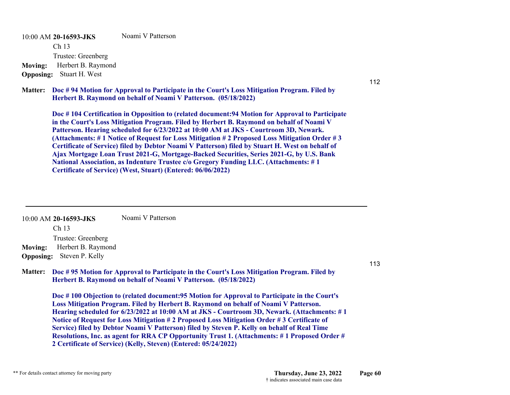10:00 AM **20-16593-JKS**  Ch 13 Trustee: Greenberg Noami V Patterson**Moving:** Herbert B. Raymond **Opposing:** Stuart H. West

**Doc # 94 Motion for Approval to Participate in the Court's Loss Mitigation Program. Filed by Matter: Herbert B. Raymond on behalf of Noami V Patterson. (05/18/2022)**

**Doc # 104 Certification in Opposition to (related document:94 Motion for Approval to Participate in the Court's Loss Mitigation Program. Filed by Herbert B. Raymond on behalf of Noami V Patterson. Hearing scheduled for 6/23/2022 at 10:00 AM at JKS - Courtroom 3D, Newark. (Attachments: # 1 Notice of Request for Loss Mitigation # 2 Proposed Loss Mitigation Order # 3 Certificate of Service) filed by Debtor Noami V Patterson) filed by Stuart H. West on behalf of Ajax Mortgage Loan Trust 2021-G, Mortgage-Backed Securities, Series 2021-G, by U.S. Bank National Association, as Indenture Trustee c/o Gregory Funding LLC. (Attachments: # 1 Certificate of Service) (West, Stuart) (Entered: 06/06/2022)**

10:00 AM **20-16593-JKS**  Ch 13 Trustee: Greenberg Noami V Patterson**Moving:** Herbert B. Raymond **Opposing:** Steven P. Kelly

**Doc # 95 Motion for Approval to Participate in the Court's Loss Mitigation Program. Filed by Matter: Herbert B. Raymond on behalf of Noami V Patterson. (05/18/2022)**

**Doc # 100 Objection to (related document:95 Motion for Approval to Participate in the Court's Loss Mitigation Program. Filed by Herbert B. Raymond on behalf of Noami V Patterson. Hearing scheduled for 6/23/2022 at 10:00 AM at JKS - Courtroom 3D, Newark. (Attachments: # 1 Notice of Request for Loss Mitigation # 2 Proposed Loss Mitigation Order # 3 Certificate of Service) filed by Debtor Noami V Patterson) filed by Steven P. Kelly on behalf of Real Time Resolutions, Inc. as agent for RRA CP Opportunity Trust 1. (Attachments: # 1 Proposed Order # 2 Certificate of Service) (Kelly, Steven) (Entered: 05/24/2022)**

113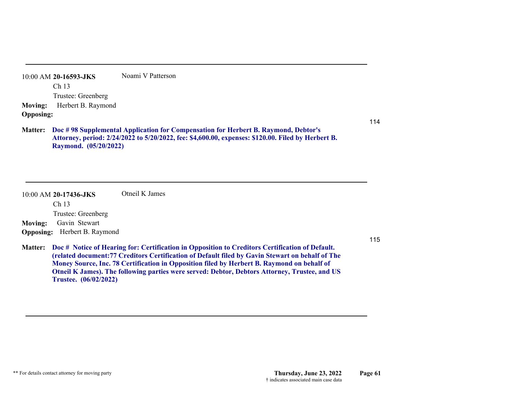10:00 AM **20-16593-JKS**  Ch 13 Trustee: Greenberg Noami V Patterson**Moving:** Herbert B. Raymond **Opposing:**

### **Doc # 98 Supplemental Application for Compensation for Herbert B. Raymond, Debtor's Matter: Attorney, period: 2/24/2022 to 5/20/2022, fee: \$4,600.00, expenses: \$120.00. Filed by Herbert B. Raymond. (05/20/2022)**

| $10:00$ AM 20-17436-JKS             | Otneil K James                                                                                                                                                                                              |     |
|-------------------------------------|-------------------------------------------------------------------------------------------------------------------------------------------------------------------------------------------------------------|-----|
| Ch <sub>13</sub>                    |                                                                                                                                                                                                             |     |
| Trustee: Greenberg                  |                                                                                                                                                                                                             |     |
| Gavin Stewart<br><b>Moving:</b>     |                                                                                                                                                                                                             |     |
| <b>Opposing:</b> Herbert B. Raymond |                                                                                                                                                                                                             |     |
|                                     |                                                                                                                                                                                                             | 115 |
|                                     | Matter: Doc # Notice of Hearing for: Certification in Opposition to Creditors Certification of Default.<br>(related document: 77 Creditors Certification of Default filed by Gavin Stewart on behalf of The |     |
|                                     | Money Source, Inc. 78 Certification in Opposition filed by Herbert B. Raymond on behalf of                                                                                                                  |     |
|                                     | Otneil K James). The following parties were served: Debtor, Debtors Attorney, Trustee, and US                                                                                                               |     |
| Trustee. (06/02/2022)               |                                                                                                                                                                                                             |     |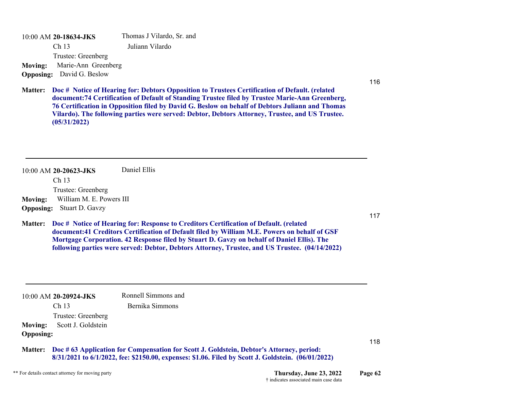10:00 AM **20-18634-JKS**  Ch 13 Trustee: Greenberg Thomas J Vilardo, Sr. and Juliann Vilardo **Moving:** Marie-Ann Greenberg **Opposing:** David G. Beslow

116

117

118

**Doc # Notice of Hearing for: Debtors Opposition to Trustees Certification of Default. (related Matter: document:74 Certification of Default of Standing Trustee filed by Trustee Marie-Ann Greenberg, 76 Certification in Opposition filed by David G. Beslow on behalf of Debtors Juliann and Thomas Vilardo). The following parties were served: Debtor, Debtors Attorney, Trustee, and US Trustee. (05/31/2022)**

10:00 AM **20-20623-JKS**  Daniel Ellis

Ch 13

Trustee: Greenberg

**Moving:** William M. E. Powers III **Opposing:** Stuart D. Gavzy

**Doc # Notice of Hearing for: Response to Creditors Certification of Default. (related Matter: document:41 Creditors Certification of Default filed by William M.E. Powers on behalf of GSF Mortgage Corporation. 42 Response filed by Stuart D. Gavzy on behalf of Daniel Ellis). The following parties were served: Debtor, Debtors Attorney, Trustee, and US Trustee. (04/14/2022)**

10:00 AM **20-20924-JKS**  Ch 13 Trustee: Greenberg Ronnell Simmons and Bernika Simmons **Moving:** Scott J. Goldstein **Opposing: Doc # 63 Application for Compensation for Scott J. Goldstein, Debtor's Attorney, period: Matter:8/31/2021 to 6/1/2022, fee: \$2150.00, expenses: \$1.06. Filed by Scott J. Goldstein. (06/01/2022)**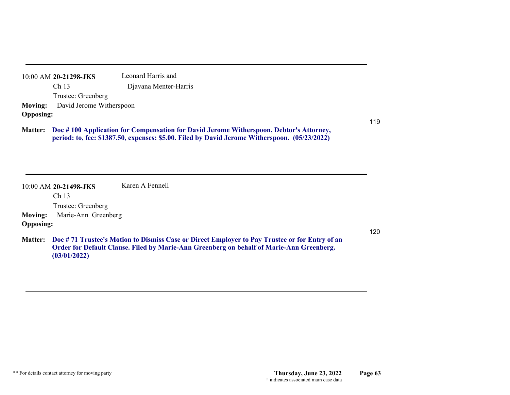10:00 AM **20-21298-JKS**  Ch 13 Trustee: Greenberg Leonard Harris and Djavana Menter-Harris **Moving:** David Jerome Witherspoon **Opposing:**

### **Doc # 100 Application for Compensation for David Jerome Witherspoon, Debtor's Attorney, Matter: period: to, fee: \$1387.50, expenses: \$5.00. Filed by David Jerome Witherspoon. (05/23/2022)**

|                  | 10:00 AM 20-21498-JKS | Karen A Fennell                                                                                       |     |
|------------------|-----------------------|-------------------------------------------------------------------------------------------------------|-----|
|                  | Ch <sub>13</sub>      |                                                                                                       |     |
|                  | Trustee: Greenberg    |                                                                                                       |     |
| <b>Moving:</b>   | Marie-Ann Greenberg   |                                                                                                       |     |
| <b>Opposing:</b> |                       |                                                                                                       |     |
|                  |                       |                                                                                                       | 120 |
|                  |                       | Matter: Doc #71 Trustee's Motion to Dismiss Case or Direct Employer to Pay Trustee or for Entry of an |     |
|                  |                       | Order for Default Clause. Filed by Marie-Ann Greenberg on behalf of Marie-Ann Greenberg.              |     |
|                  | (03/01/2022)          |                                                                                                       |     |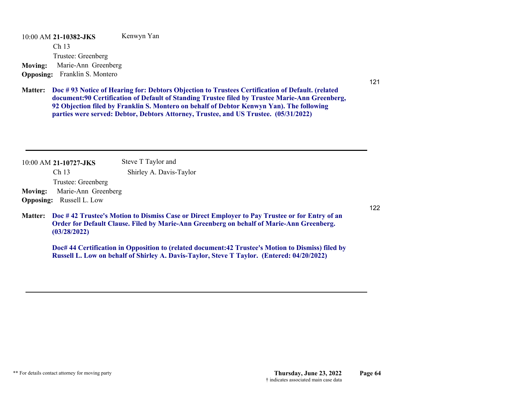10:00 AM **21-10382-JKS**  Ch 13 Trustee: Greenberg Kenwyn Yan **Moving:** Marie-Ann Greenberg **Opposing:** Franklin S. Montero

121

**Doc # 93 Notice of Hearing for: Debtors Objection to Trustees Certification of Default. (related Matter: document:90 Certification of Default of Standing Trustee filed by Trustee Marie-Ann Greenberg, 92 Objection filed by Franklin S. Montero on behalf of Debtor Kenwyn Yan). The following parties were served: Debtor, Debtors Attorney, Trustee, and US Trustee. (05/31/2022)**

|                | 10:00 AM 21-10727-JKS           | Steve T Taylor and                                                                                                                                                                        |
|----------------|---------------------------------|-------------------------------------------------------------------------------------------------------------------------------------------------------------------------------------------|
|                | Ch <sub>13</sub>                | Shirley A. Davis-Taylor                                                                                                                                                                   |
|                | Trustee: Greenberg              |                                                                                                                                                                                           |
| <b>Moving:</b> | Marie-Ann Greenberg             |                                                                                                                                                                                           |
|                | <b>Opposing:</b> Russell L. Low |                                                                                                                                                                                           |
| <b>Matter:</b> | (03/28/2022)                    | Doc #42 Trustee's Motion to Dismiss Case or Direct Employer to Pay Trustee or for Entry of an<br>Order for Default Clause. Filed by Marie-Ann Greenberg on behalf of Marie-Ann Greenberg. |

**Doc# 44 Certification in Opposition to (related document:42 Trustee's Motion to Dismiss) filed by Russell L. Low on behalf of Shirley A. Davis-Taylor, Steve T Taylor. (Entered: 04/20/2022)**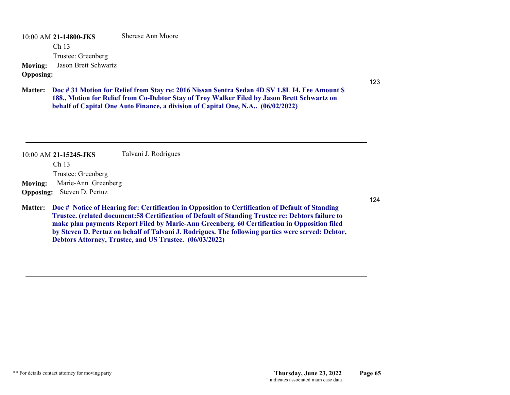10:00 AM **21-14800-JKS**  Ch 13 Trustee: Greenberg Sherese Ann Moore**Moving:** Jason Brett Schwartz

# **Opposing:**

123

**Doc # 31 Motion for Relief from Stay re: 2016 Nissan Sentra Sedan 4D SV 1.8L I4. Fee Amount \$ Matter: 188., Motion for Relief from Co-Debtor Stay of Troy Walker Filed by Jason Brett Schwartz on behalf of Capital One Auto Finance, a division of Capital One, N.A.. (06/02/2022)**

10:00 AM **21-15245-JKS**  Ch 13 Trustee: Greenberg Talvani J. Rodrigues **Moving:** Marie-Ann Greenberg **Opposing:** Steven D. Pertuz

**Doc # Notice of Hearing for: Certification in Opposition to Certification of Default of Standing Matter: Trustee. (related document:58 Certification of Default of Standing Trustee re: Debtors failure to make plan payments Report Filed by Marie-Ann Greenberg. 60 Certification in Opposition filed by Steven D. Pertuz on behalf of Talvani J. Rodrigues. The following parties were served: Debtor, Debtors Attorney, Trustee, and US Trustee. (06/03/2022)**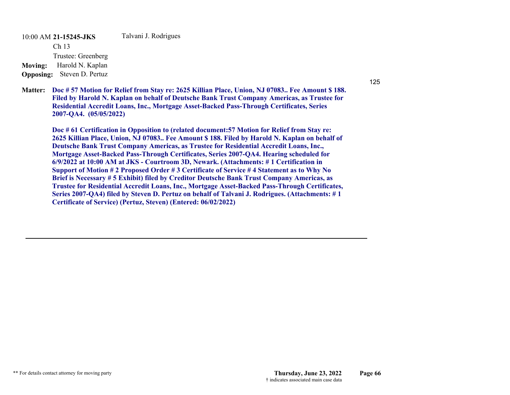10:00 AM **21-15245-JKS**  Ch 13 Trustee: Greenberg Talvani J. Rodrigues **Moving:** Harold N. Kaplan **Opposing:** Steven D. Pertuz

**Doc # 57 Motion for Relief from Stay re: 2625 Killian Place, Union, NJ 07083.. Fee Amount \$ 188. Matter: Filed by Harold N. Kaplan on behalf of Deutsche Bank Trust Company Americas, as Trustee for Residential Accredit Loans, Inc., Mortgage Asset-Backed Pass-Through Certificates, Series 2007-QA4. (05/05/2022)**

**Doc # 61 Certification in Opposition to (related document:57 Motion for Relief from Stay re: 2625 Killian Place, Union, NJ 07083.. Fee Amount \$ 188. Filed by Harold N. Kaplan on behalf of Deutsche Bank Trust Company Americas, as Trustee for Residential Accredit Loans, Inc., Mortgage Asset-Backed Pass-Through Certificates, Series 2007-QA4. Hearing scheduled for 6/9/2022 at 10:00 AM at JKS - Courtroom 3D, Newark. (Attachments: # 1 Certification in Support of Motion # 2 Proposed Order # 3 Certificate of Service # 4 Statement as to Why No Brief is Necessary # 5 Exhibit) filed by Creditor Deutsche Bank Trust Company Americas, as Trustee for Residential Accredit Loans, Inc., Mortgage Asset-Backed Pass-Through Certificates, Series 2007-QA4) filed by Steven D. Pertuz on behalf of Talvani J. Rodrigues. (Attachments: # 1 Certificate of Service) (Pertuz, Steven) (Entered: 06/02/2022)**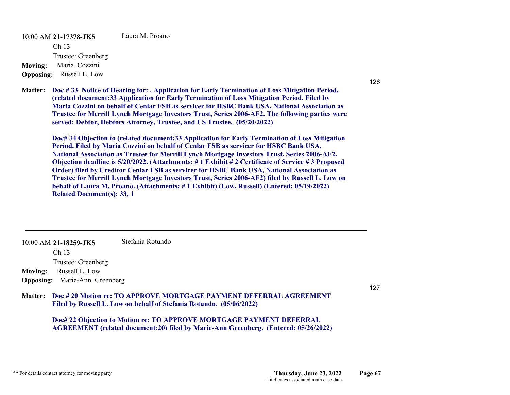10:00 AM **21-17378-JKS**  Ch 13 Trustee: Greenberg Laura M. Proano**Moving:** Maria Cozzini **Opposing:** Russell L. Low

**Doc # 33 Notice of Hearing for: . Application for Early Termination of Loss Mitigation Period. Matter: (related document:33 Application for Early Termination of Loss Mitigation Period. Filed by Maria Cozzini on behalf of Cenlar FSB as servicer for HSBC Bank USA, National Association as Trustee for Merrill Lynch Mortgage Investors Trust, Series 2006-AF2. The following parties were served: Debtor, Debtors Attorney, Trustee, and US Trustee. (05/20/2022)**

**Doc# 34 Objection to (related document:33 Application for Early Termination of Loss Mitigation Period. Filed by Maria Cozzini on behalf of Cenlar FSB as servicer for HSBC Bank USA, National Association as Trustee for Merrill Lynch Mortgage Investors Trust, Series 2006-AF2. Objection deadline is 5/20/2022. (Attachments: # 1 Exhibit # 2 Certificate of Service # 3 Proposed Order) filed by Creditor Cenlar FSB as servicer for HSBC Bank USA, National Association as Trustee for Merrill Lynch Mortgage Investors Trust, Series 2006-AF2) filed by Russell L. Low on behalf of Laura M. Proano. (Attachments: # 1 Exhibit) (Low, Russell) (Entered: 05/19/2022) Related Document(s): 33, 1**

10:00 AM **21-18259-JKS**  Ch 13 Trustee: Greenberg Stefania Rotundo**Moving:** Russell L. Low **Opposing:** Marie-Ann Greenberg

### **Doc # 20 Motion re: TO APPROVE MORTGAGE PAYMENT DEFERRAL AGREEMENTMatter:Filed by Russell L. Low on behalf of Stefania Rotundo. (05/06/2022)**

**Doc# 22 Objection to Motion re: TO APPROVE MORTGAGE PAYMENT DEFERRAL AGREEMENT (related document:20) filed by Marie-Ann Greenberg. (Entered: 05/26/2022)**

126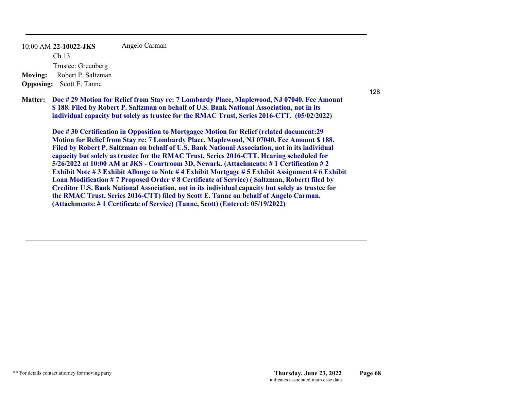10:00 AM **22-10022-JKS**  Ch 13 Trustee: Greenberg Angelo Carman **Moving:** Robert P. Saltzman **Opposing:** Scott E. Tanne

128

**Doc # 29 Motion for Relief from Stay re: 7 Lombardy Place, Maplewood, NJ 07040. Fee Amount Matter: \$ 188. Filed by Robert P. Saltzman on behalf of U.S. Bank National Association, not in its individual capacity but solely as trustee for the RMAC Trust, Series 2016-CTT. (05/02/2022)**

**Doc # 30 Certification in Opposition to Mortgagee Motion for Relief (related document:29 Motion for Relief from Stay re: 7 Lombardy Place, Maplewood, NJ 07040. Fee Amount \$ 188. Filed by Robert P. Saltzman on behalf of U.S. Bank National Association, not in its individual capacity but solely as trustee for the RMAC Trust, Series 2016-CTT. Hearing scheduled for 5/26/2022 at 10:00 AM at JKS - Courtroom 3D, Newark. (Attachments: # 1 Certification # 2 Exhibit Note # 3 Exhibit Allonge to Note # 4 Exhibit Mortgage # 5 Exhibit Assignment # 6 Exhibit Loan Modification # 7 Proposed Order # 8 Certificate of Service) ( Saltzman, Robert) filed by Creditor U.S. Bank National Association, not in its individual capacity but solely as trustee for the RMAC Trust, Series 2016-CTT) filed by Scott E. Tanne on behalf of Angelo Carman. (Attachments: # 1 Certificate of Service) (Tanne, Scott) (Entered: 05/19/2022)**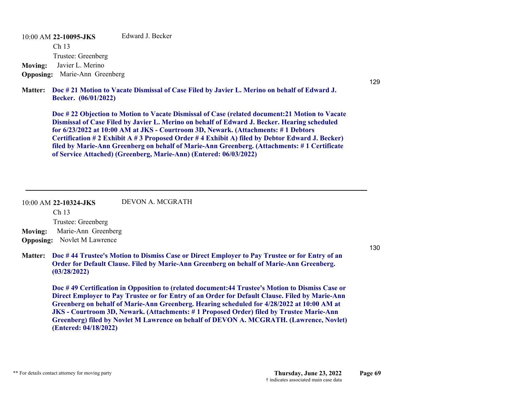10:00 AM **22-10095-JKS**  Ch 13 Trustee: Greenberg Edward J. Becker**Moving:** Javier L. Merino **Opposing:** Marie-Ann Greenberg

**Doc # 21 Motion to Vacate Dismissal of Case Filed by Javier L. Merino on behalf of Edward J. Matter: Becker. (06/01/2022)**

**Doc # 22 Objection to Motion to Vacate Dismissal of Case (related document:21 Motion to Vacate Dismissal of Case Filed by Javier L. Merino on behalf of Edward J. Becker. Hearing scheduled for 6/23/2022 at 10:00 AM at JKS - Courtroom 3D, Newark. (Attachments: # 1 Debtors Certification # 2 Exhibit A # 3 Proposed Order # 4 Exhibit A) filed by Debtor Edward J. Becker) filed by Marie-Ann Greenberg on behalf of Marie-Ann Greenberg. (Attachments: # 1 Certificate of Service Attached) (Greenberg, Marie-Ann) (Entered: 06/03/2022)**

#### 10:00 AM **22-10324-JKS**  DEVON A. MCGRATH

Ch 13 Trustee: Greenberg **Moving:** Marie-Ann Greenberg

**Opposing:** Novlet M Lawrence

**Doc # 44 Trustee's Motion to Dismiss Case or Direct Employer to Pay Trustee or for Entry of an Matter: Order for Default Clause. Filed by Marie-Ann Greenberg on behalf of Marie-Ann Greenberg. (03/28/2022)**

**Doc # 49 Certification in Opposition to (related document:44 Trustee's Motion to Dismiss Case or Direct Employer to Pay Trustee or for Entry of an Order for Default Clause. Filed by Marie-Ann Greenberg on behalf of Marie-Ann Greenberg. Hearing scheduled for 4/28/2022 at 10:00 AM at JKS - Courtroom 3D, Newark. (Attachments: # 1 Proposed Order) filed by Trustee Marie-Ann Greenberg) filed by Novlet M Lawrence on behalf of DEVON A. MCGRATH. (Lawrence, Novlet) (Entered: 04/18/2022)**

130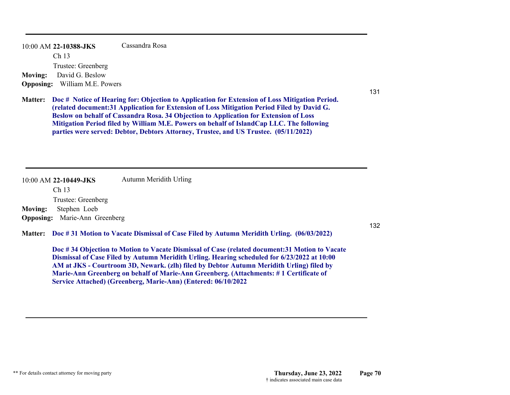10:00 AM **22-10388-JKS**  Ch 13 Trustee: Greenberg Cassandra Rosa**Moving:** David G. Beslow **Opposing:** William M.E. Powers

**Doc # Notice of Hearing for: Objection to Application for Extension of Loss Mitigation Period. Matter: (related document:31 Application for Extension of Loss Mitigation Period Filed by David G. Beslow on behalf of Cassandra Rosa. 34 Objection to Application for Extension of Loss Mitigation Period filed by William M.E. Powers on behalf of IslandCap LLC. The following parties were served: Debtor, Debtors Attorney, Trustee, and US Trustee. (05/11/2022)**

10:00 AM **22-10449-JKS**  Ch 13 Trustee: Greenberg Autumn Meridith Urling **Moving:** Stephen Loeb **Opposing:** Marie-Ann Greenberg

**Doc # 31 Motion to Vacate Dismissal of Case Filed by Autumn Meridith Urling. (06/03/2022) Matter:**

**Doc # 34 Objection to Motion to Vacate Dismissal of Case (related document:31 Motion to Vacate Dismissal of Case Filed by Autumn Meridith Urling. Hearing scheduled for 6/23/2022 at 10:00 AM at JKS - Courtroom 3D, Newark. (zlh) filed by Debtor Autumn Meridith Urling) filed by Marie-Ann Greenberg on behalf of Marie-Ann Greenberg. (Attachments: # 1 Certificate of Service Attached) (Greenberg, Marie-Ann) (Entered: 06/10/2022**

132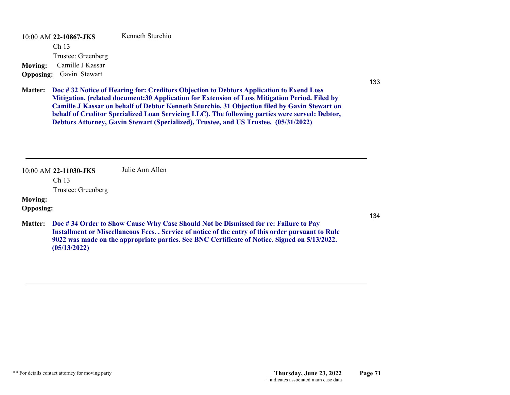10:00 AM **22-10867-JKS**  Ch 13 Trustee: Greenberg Kenneth Sturchio**Moving:** Camille J Kassar **Opposing:** Gavin Stewart

133

**Doc # 32 Notice of Hearing for: Creditors Objection to Debtors Application to Exend Loss Matter: Mitigation. (related document:30 Application for Extension of Loss Mitigation Period. Filed by Camille J Kassar on behalf of Debtor Kenneth Sturchio, 31 Objection filed by Gavin Stewart on behalf of Creditor Specialized Loan Servicing LLC). The following parties were served: Debtor, Debtors Attorney, Gavin Stewart (Specialized), Trustee, and US Trustee. (05/31/2022)**

10:00 AM **22-11030-JKS**  Julie Ann Allen

Ch 13

Trustee: Greenberg

# **Moving:**

### **Opposing:**

**Doc # 34 Order to Show Cause Why Case Should Not be Dismissed for re: Failure to Pay Matter: Installment or Miscellaneous Fees. . Service of notice of the entry of this order pursuant to Rule 9022 was made on the appropriate parties. See BNC Certificate of Notice. Signed on 5/13/2022. (05/13/2022)**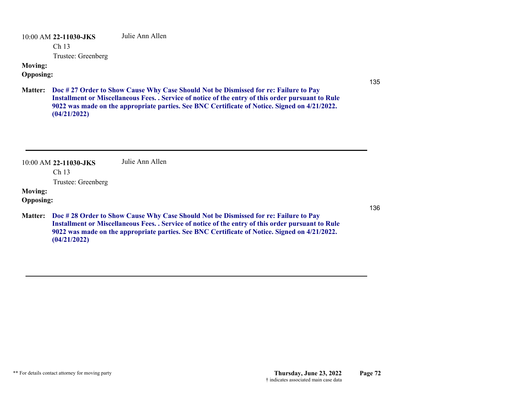10:00 AM **22-11030-JKS**  Julie Ann Allen

Ch 13

Trustee: Greenberg

# **Moving:**

### **Opposing:**

**Doc # 27 Order to Show Cause Why Case Should Not be Dismissed for re: Failure to Pay Matter: Installment or Miscellaneous Fees. . Service of notice of the entry of this order pursuant to Rule 9022 was made on the appropriate parties. See BNC Certificate of Notice. Signed on 4/21/2022. (04/21/2022)**

| 10:00 AM 22-11030-JKS | Julie Ann Allen |
|-----------------------|-----------------|
|-----------------------|-----------------|

Ch 13

Trustee: Greenberg

### **Moving:**

# **Opposing:**

**Doc # 28 Order to Show Cause Why Case Should Not be Dismissed for re: Failure to Pay Matter: Installment or Miscellaneous Fees. . Service of notice of the entry of this order pursuant to Rule 9022 was made on the appropriate parties. See BNC Certificate of Notice. Signed on 4/21/2022. (04/21/2022)**

136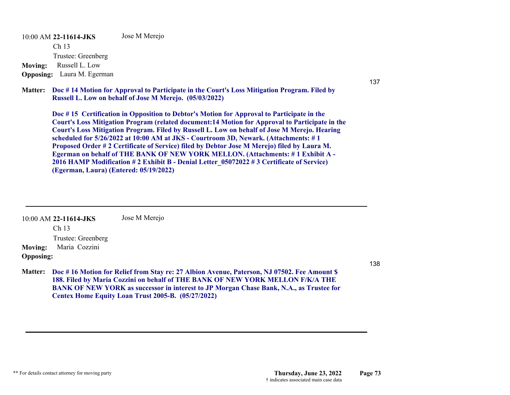10:00 AM **22-11614-JKS**  Ch 13 Trustee: Greenberg Jose M Merejo **Moving:** Russell L. Low **Opposing:** Laura M. Egerman

**Doc # 14 Motion for Approval to Participate in the Court's Loss Mitigation Program. Filed by Matter: Russell L. Low on behalf of Jose M Merejo. (05/03/2022)**

**Doc # 15 Certification in Opposition to Debtor's Motion for Approval to Participate in the Court's Loss Mitigation Program (related document:14 Motion for Approval to Participate in the Court's Loss Mitigation Program. Filed by Russell L. Low on behalf of Jose M Merejo. Hearing scheduled for 5/26/2022 at 10:00 AM at JKS - Courtroom 3D, Newark. (Attachments: # 1 Proposed Order # 2 Certificate of Service) filed by Debtor Jose M Merejo) filed by Laura M. Egerman on behalf of THE BANK OF NEW YORK MELLON. (Attachments: # 1 Exhibit A - 2016 HAMP Modification # 2 Exhibit B - Denial Letter\_05072022 # 3 Certificate of Service) (Egerman, Laura) (Entered: 05/19/2022)**

10:00 AM **22-11614-JKS**  Ch 13 Trustee: Greenberg Jose M Merejo **Moving:** Maria Cozzini **Opposing:**

**Doc # 16 Motion for Relief from Stay re: 27 Albion Avenue, Paterson, NJ 07502. Fee Amount \$ Matter: 188. Filed by Maria Cozzini on behalf of THE BANK OF NEW YORK MELLON F/K/A THE BANK OF NEW YORK as successor in interest to JP Morgan Chase Bank, N.A., as Trustee for Centex Home Equity Loan Trust 2005-B. (05/27/2022)**

138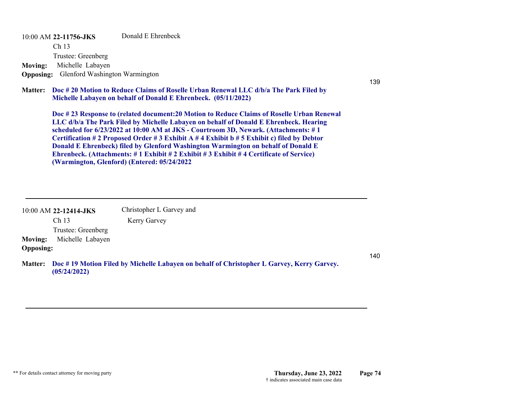10:00 AM **22-11756-JKS**  Ch 13 Trustee: Greenberg Donald E Ehrenbeck**Moving:** Michelle Labayen

**Opposing:** Glenford Washington Warmington

#### **Doc # 20 Motion to Reduce Claims of Roselle Urban Renewal LLC d/b/a The Park Filed by Matter: Michelle Labayen on behalf of Donald E Ehrenbeck. (05/11/2022)**

**Doc # 23 Response to (related document:20 Motion to Reduce Claims of Roselle Urban Renewal LLC d/b/a The Park Filed by Michelle Labayen on behalf of Donald E Ehrenbeck. Hearing scheduled for 6/23/2022 at 10:00 AM at JKS - Courtroom 3D, Newark. (Attachments: # 1 Certification # 2 Proposed Order # 3 Exhibit A # 4 Exhibit b # 5 Exhibit c) filed by Debtor Donald E Ehrenbeck) filed by Glenford Washington Warmington on behalf of Donald E Ehrenbeck. (Attachments: # 1 Exhibit # 2 Exhibit # 3 Exhibit # 4 Certificate of Service) (Warmington, Glenford) (Entered: 05/24/2022**

|                  | 10:00 AM 22-12414-JKS | Christopher L Garvey and |
|------------------|-----------------------|--------------------------|
|                  | Ch <sub>13</sub>      | Kerry Garvey             |
|                  | Trustee: Greenberg    |                          |
| <b>Moving:</b>   | Michelle Labayen      |                          |
| <b>Opposing:</b> |                       |                          |

**Doc # 19 Motion Filed by Michelle Labayen on behalf of Christopher L Garvey, Kerry Garvey. Matter: (05/24/2022)**

140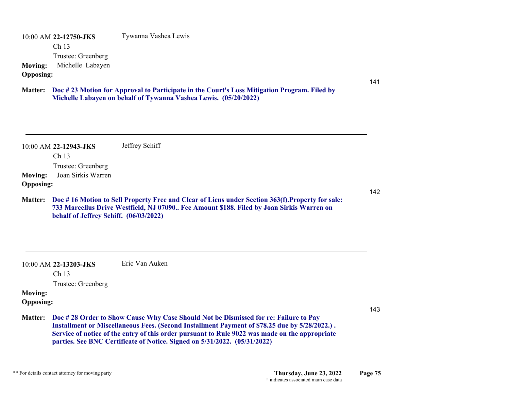10:00 AM **22-12750-JKS**  Ch 13 Trustee: Greenberg Tywanna Vashea Lewis **Moving:** Michelle Labayen **Opposing:**

#### **Doc # 23 Motion for Approval to Participate in the Court's Loss Mitigation Program. Filed by Matter: Michelle Labayen on behalf of Tywanna Vashea Lewis. (05/20/2022)**

|                  | 10:00 AM 22-12943-JKS<br>Ch <sub>13</sub> | Jeffrey Schiff                                                                                   |
|------------------|-------------------------------------------|--------------------------------------------------------------------------------------------------|
|                  | Trustee: Greenberg                        |                                                                                                  |
| <b>Moving:</b>   | Joan Sirkis Warren                        |                                                                                                  |
| <b>Opposing:</b> |                                           |                                                                                                  |
| <b>Matter:</b>   |                                           | Doc #16 Motion to Sell Property Free and Clear of Liens under Section 363(f). Property for sale: |
|                  | behalf of Jeffrey Schiff. (06/03/2022)    | 733 Marcellus Drive Westfield, NJ 07090 Fee Amount \$188. Filed by Joan Sirkis Warren on         |
|                  | $10:00$ AM 22-13203-JKS                   | Eric Van Auken                                                                                   |
|                  | Ch <sub>13</sub>                          |                                                                                                  |

#### **Moving:**

**Opposing:**

143

141

142

**Doc # 28 Order to Show Cause Why Case Should Not be Dismissed for re: Failure to Pay Matter: Installment or Miscellaneous Fees. (Second Installment Payment of \$78.25 due by 5/28/2022.) . Service of notice of the entry of this order pursuant to Rule 9022 was made on the appropriate parties. See BNC Certificate of Notice. Signed on 5/31/2022. (05/31/2022)**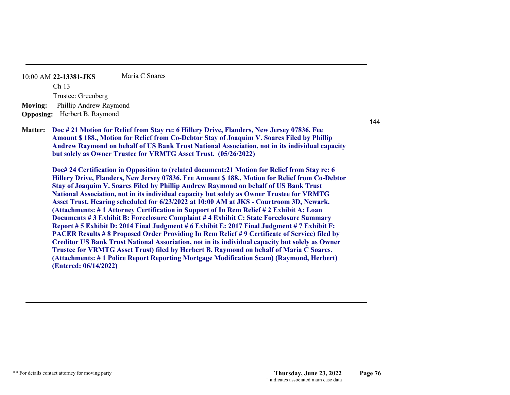10:00 AM **22-13381-JKS**  Ch 13 Trustee: Greenberg Maria C Soares**Moving:** Phillip Andrew Raymond **Opposing:** Herbert B. Raymond

**Doc # 21 Motion for Relief from Stay re: 6 Hillery Drive, Flanders, New Jersey 07836. Fee Matter: Amount \$ 188., Motion for Relief from Co-Debtor Stay of Joaquim V. Soares Filed by Phillip Andrew Raymond on behalf of US Bank Trust National Association, not in its individual capacity but solely as Owner Trustee for VRMTG Asset Trust. (05/26/2022)**

**Doc# 24 Certification in Opposition to (related document:21 Motion for Relief from Stay re: 6 Hillery Drive, Flanders, New Jersey 07836. Fee Amount \$ 188., Motion for Relief from Co-Debtor Stay of Joaquim V. Soares Filed by Phillip Andrew Raymond on behalf of US Bank Trust National Association, not in its individual capacity but solely as Owner Trustee for VRMTG Asset Trust. Hearing scheduled for 6/23/2022 at 10:00 AM at JKS - Courtroom 3D, Newark. (Attachments: # 1 Attorney Certification in Support of In Rem Relief # 2 Exhibit A: Loan Documents # 3 Exhibit B: Foreclosure Complaint # 4 Exhibit C: State Foreclosure Summary Report # 5 Exhibit D: 2014 Final Judgment # 6 Exhibit E: 2017 Final Judgment # 7 Exhibit F: PACER Results # 8 Proposed Order Providing In Rem Relief # 9 Certificate of Service) filed by Creditor US Bank Trust National Association, not in its individual capacity but solely as Owner Trustee for VRMTG Asset Trust) filed by Herbert B. Raymond on behalf of Maria C Soares. (Attachments: # 1 Police Report Reporting Mortgage Modification Scam) (Raymond, Herbert) (Entered: 06/14/2022)**

\*\* For details contact attorney for moving party **Thursday, June 23, 2022 Page 76** † indicates associated main case data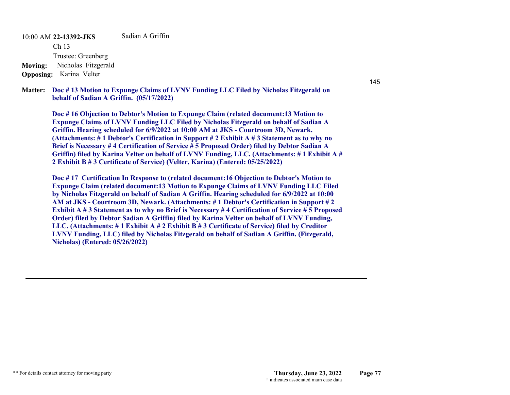10:00 AM **22-13392-JKS**  Ch 13 Trustee: Greenberg Sadian A Griffin**Moving:** Nicholas Fitzgerald **Opposing:** Karina Velter

**Doc # 13 Motion to Expunge Claims of LVNV Funding LLC Filed by Nicholas Fitzgerald on Matter: behalf of Sadian A Griffin. (05/17/2022)**

**Doc # 16 Objection to Debtor's Motion to Expunge Claim (related document:13 Motion to Expunge Claims of LVNV Funding LLC Filed by Nicholas Fitzgerald on behalf of Sadian A Griffin. Hearing scheduled for 6/9/2022 at 10:00 AM at JKS - Courtroom 3D, Newark. (Attachments: # 1 Debtor's Certification in Support # 2 Exhibit A # 3 Statement as to why no Brief is Necessary # 4 Certification of Service # 5 Proposed Order) filed by Debtor Sadian A Griffin) filed by Karina Velter on behalf of LVNV Funding, LLC. (Attachments: # 1 Exhibit A # 2 Exhibit B # 3 Certificate of Service) (Velter, Karina) (Entered: 05/25/2022)**

**Doc # 17 Certification In Response to (related document:16 Objection to Debtor's Motion to Expunge Claim (related document:13 Motion to Expunge Claims of LVNV Funding LLC Filed by Nicholas Fitzgerald on behalf of Sadian A Griffin. Hearing scheduled for 6/9/2022 at 10:00 AM at JKS - Courtroom 3D, Newark. (Attachments: # 1 Debtor's Certification in Support # 2 Exhibit A # 3 Statement as to why no Brief is Necessary # 4 Certification of Service # 5 Proposed Order) filed by Debtor Sadian A Griffin) filed by Karina Velter on behalf of LVNV Funding, LLC. (Attachments: # 1 Exhibit A # 2 Exhibit B # 3 Certificate of Service) filed by Creditor LVNV Funding, LLC) filed by Nicholas Fitzgerald on behalf of Sadian A Griffin. (Fitzgerald, Nicholas) (Entered: 05/26/2022)**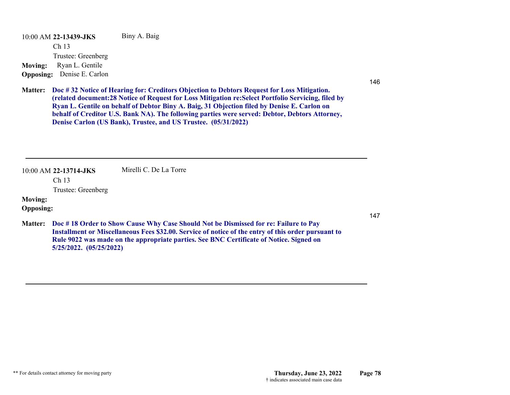10:00 AM **22-13439-JKS**  Ch 13 Trustee: Greenberg Biny A. Baig **Moving:** Ryan L. Gentile **Opposing:** Denise E. Carlon

146

**Doc # 32 Notice of Hearing for: Creditors Objection to Debtors Request for Loss Mitigation. Matter: (related document:28 Notice of Request for Loss Mitigation re:Select Portfolio Servicing, filed by Ryan L. Gentile on behalf of Debtor Biny A. Baig, 31 Objection filed by Denise E. Carlon on behalf of Creditor U.S. Bank NA). The following parties were served: Debtor, Debtors Attorney, Denise Carlon (US Bank), Trustee, and US Trustee. (05/31/2022)**

10:00 AM **22-13714-JKS**  Mirelli C. De La Torre

Ch 13

Trustee: Greenberg

## **Moving:**

### **Opposing:**

**Doc # 18 Order to Show Cause Why Case Should Not be Dismissed for re: Failure to Pay Matter: Installment or Miscellaneous Fees \$32.00. Service of notice of the entry of this order pursuant to Rule 9022 was made on the appropriate parties. See BNC Certificate of Notice. Signed on 5/25/2022. (05/25/2022)**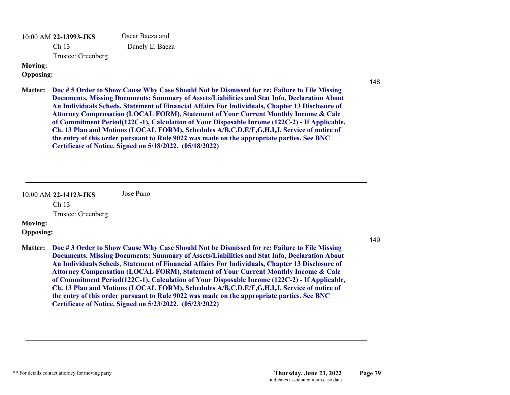10:00 AM **22-13993-JKS**  Ch 13 Oscar Baeza and Danely E. Baeza

Trustee: Greenberg

### **Moving:**

**Opposing:**

- 148
- **Doc # 5 Order to Show Cause Why Case Should Not be Dismissed for re: Failure to File Missing Matter: Documents. Missing Documents: Summary of Assets/Liabilities and Stat Info, Declaration About An Individuals Scheds, Statement of Financial Affairs For Individuals, Chapter 13 Disclosure of Attorney Compensation (LOCAL FORM), Statement of Your Current Monthly Income & Calc of Commitment Period(122C-1), Calculation of Your Disposable Income (122C-2) - If Applicable, Ch. 13 Plan and Motions (LOCAL FORM), Schedules A/B,C,D,E/F,G,H,I,J, Service of notice of the entry of this order pursuant to Rule 9022 was made on the appropriate parties. See BNC Certificate of Notice. Signed on 5/18/2022. (05/18/2022)**

10:00 AM **22-14123-JKS**  Ch 13 Trustee: Greenberg Jose Puno

## **Moving:**

**Opposing:**

- 149
- **Doc # 3 Order to Show Cause Why Case Should Not be Dismissed for re: Failure to File Missing Matter: Documents. Missing Documents: Summary of Assets/Liabilities and Stat Info, Declaration About An Individuals Scheds, Statement of Financial Affairs For Individuals, Chapter 13 Disclosure of Attorney Compensation (LOCAL FORM), Statement of Your Current Monthly Income & Calc of Commitment Period(122C-1), Calculation of Your Disposable Income (122C-2) - If Applicable, Ch. 13 Plan and Motions (LOCAL FORM), Schedules A/B,C,D,E/F,G,H,I,J, Service of notice of the entry of this order pursuant to Rule 9022 was made on the appropriate parties. See BNC Certificate of Notice. Signed on 5/23/2022. (05/23/2022)**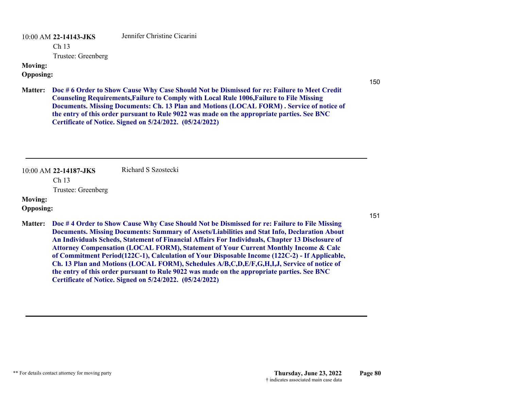10:00 AM **22-14143-JKS** 

Jennifer Christine Cicarini

Ch 13

Trustee: Greenberg

#### **Moving:**

**Opposing:**

150

**Doc # 6 Order to Show Cause Why Case Should Not be Dismissed for re: Failure to Meet Credit Matter: Counseling Requirements,Failure to Comply with Local Rule 1006,Failure to File Missing Documents. Missing Documents: Ch. 13 Plan and Motions (LOCAL FORM) . Service of notice of the entry of this order pursuant to Rule 9022 was made on the appropriate parties. See BNC Certificate of Notice. Signed on 5/24/2022. (05/24/2022)**

10:00 AM **22-14187-JKS**  Richard S Szostecki

Ch 13

Trustee: Greenberg

### **Moving:**

#### **Opposing:**

**Doc # 4 Order to Show Cause Why Case Should Not be Dismissed for re: Failure to File Missing Matter: Documents. Missing Documents: Summary of Assets/Liabilities and Stat Info, Declaration About An Individuals Scheds, Statement of Financial Affairs For Individuals, Chapter 13 Disclosure of Attorney Compensation (LOCAL FORM), Statement of Your Current Monthly Income & Calc of Commitment Period(122C-1), Calculation of Your Disposable Income (122C-2) - If Applicable, Ch. 13 Plan and Motions (LOCAL FORM), Schedules A/B,C,D,E/F,G,H,I,J, Service of notice of the entry of this order pursuant to Rule 9022 was made on the appropriate parties. See BNC Certificate of Notice. Signed on 5/24/2022. (05/24/2022)**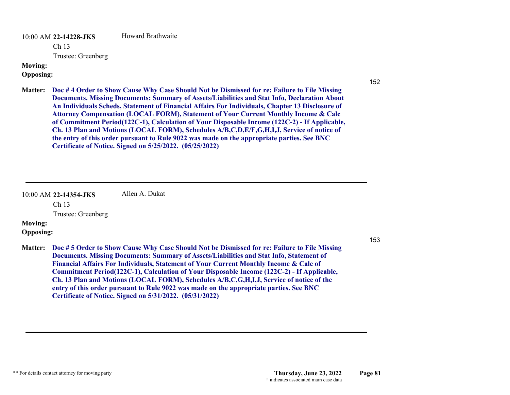10:00 AM **22-14228-JKS**  Howard Brathwaite

Ch 13

Trustee: Greenberg

#### **Moving:**

**Opposing:**

152

153

**Doc # 4 Order to Show Cause Why Case Should Not be Dismissed for re: Failure to File Missing Matter: Documents. Missing Documents: Summary of Assets/Liabilities and Stat Info, Declaration About An Individuals Scheds, Statement of Financial Affairs For Individuals, Chapter 13 Disclosure of Attorney Compensation (LOCAL FORM), Statement of Your Current Monthly Income & Calc of Commitment Period(122C-1), Calculation of Your Disposable Income (122C-2) - If Applicable, Ch. 13 Plan and Motions (LOCAL FORM), Schedules A/B,C,D,E/F,G,H,I,J, Service of notice of the entry of this order pursuant to Rule 9022 was made on the appropriate parties. See BNC Certificate of Notice. Signed on 5/25/2022. (05/25/2022)**

10:00 AM **22-14354-JKS**  Ch 13 Trustee: Greenberg Allen A. Dukat

# **Moving:**

**Opposing:**

**Doc # 5 Order to Show Cause Why Case Should Not be Dismissed for re: Failure to File Missing Matter: Documents. Missing Documents: Summary of Assets/Liabilities and Stat Info, Statement of Financial Affairs For Individuals, Statement of Your Current Monthly Income & Calc of Commitment Period(122C-1), Calculation of Your Disposable Income (122C-2) - If Applicable, Ch. 13 Plan and Motions (LOCAL FORM), Schedules A/B,C,G,H,I,J, Service of notice of the entry of this order pursuant to Rule 9022 was made on the appropriate parties. See BNC Certificate of Notice. Signed on 5/31/2022. (05/31/2022)**